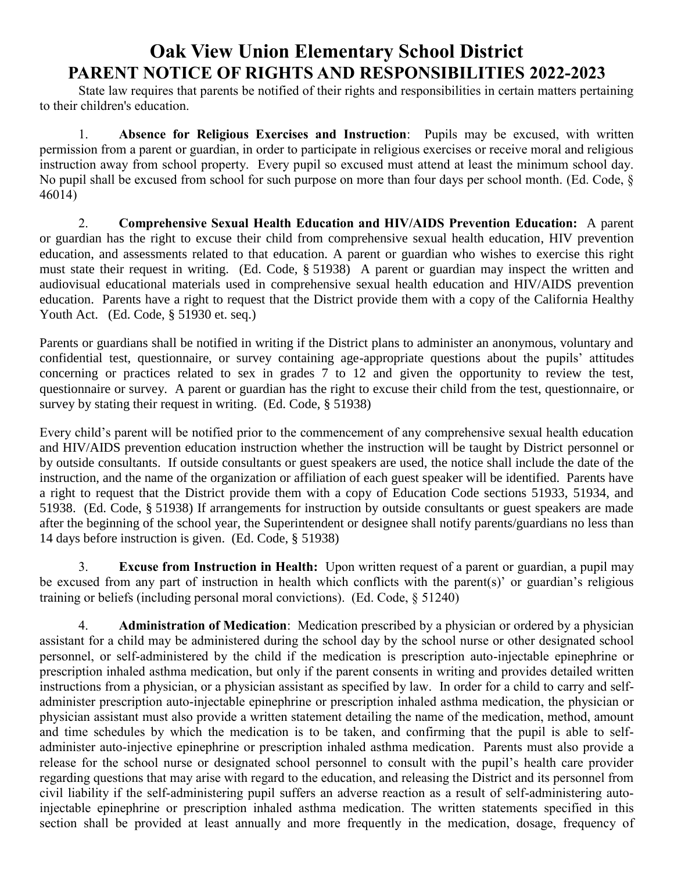# **Oak View Union Elementary School District PARENT NOTICE OF RIGHTS AND RESPONSIBILITIES 2022-2023**

State law requires that parents be notified of their rights and responsibilities in certain matters pertaining to their children's education.

1. **Absence for Religious Exercises and Instruction**: Pupils may be excused, with written permission from a parent or guardian, in order to participate in religious exercises or receive moral and religious instruction away from school property. Every pupil so excused must attend at least the minimum school day. No pupil shall be excused from school for such purpose on more than four days per school month. (Ed. Code, § 46014)

2. **Comprehensive Sexual Health Education and HIV/AIDS Prevention Education:** A parent or guardian has the right to excuse their child from comprehensive sexual health education, HIV prevention education, and assessments related to that education. A parent or guardian who wishes to exercise this right must state their request in writing. (Ed. Code, § 51938) A parent or guardian may inspect the written and audiovisual educational materials used in comprehensive sexual health education and HIV/AIDS prevention education. Parents have a right to request that the District provide them with a copy of the California Healthy Youth Act. (Ed. Code, § 51930 et. seq.)

Parents or guardians shall be notified in writing if the District plans to administer an anonymous, voluntary and confidential test, questionnaire, or survey containing age-appropriate questions about the pupils' attitudes concerning or practices related to sex in grades 7 to 12 and given the opportunity to review the test, questionnaire or survey. A parent or guardian has the right to excuse their child from the test, questionnaire, or survey by stating their request in writing. (Ed. Code, § 51938)

Every child's parent will be notified prior to the commencement of any comprehensive sexual health education and HIV/AIDS prevention education instruction whether the instruction will be taught by District personnel or by outside consultants. If outside consultants or guest speakers are used, the notice shall include the date of the instruction, and the name of the organization or affiliation of each guest speaker will be identified. Parents have a right to request that the District provide them with a copy of Education Code sections 51933, 51934, and 51938. (Ed. Code, § 51938) If arrangements for instruction by outside consultants or guest speakers are made after the beginning of the school year, the Superintendent or designee shall notify parents/guardians no less than 14 days before instruction is given. (Ed. Code, § 51938)

3. **Excuse from Instruction in Health:** Upon written request of a parent or guardian, a pupil may be excused from any part of instruction in health which conflicts with the parent(s)' or guardian's religious training or beliefs (including personal moral convictions). (Ed. Code, § 51240)

4. **Administration of Medication**: Medication prescribed by a physician or ordered by a physician assistant for a child may be administered during the school day by the school nurse or other designated school personnel, or self-administered by the child if the medication is prescription auto-injectable epinephrine or prescription inhaled asthma medication, but only if the parent consents in writing and provides detailed written instructions from a physician, or a physician assistant as specified by law. In order for a child to carry and selfadminister prescription auto-injectable epinephrine or prescription inhaled asthma medication, the physician or physician assistant must also provide a written statement detailing the name of the medication, method, amount and time schedules by which the medication is to be taken, and confirming that the pupil is able to selfadminister auto-injective epinephrine or prescription inhaled asthma medication. Parents must also provide a release for the school nurse or designated school personnel to consult with the pupil's health care provider regarding questions that may arise with regard to the education, and releasing the District and its personnel from civil liability if the self-administering pupil suffers an adverse reaction as a result of self-administering autoinjectable epinephrine or prescription inhaled asthma medication. The written statements specified in this section shall be provided at least annually and more frequently in the medication, dosage, frequency of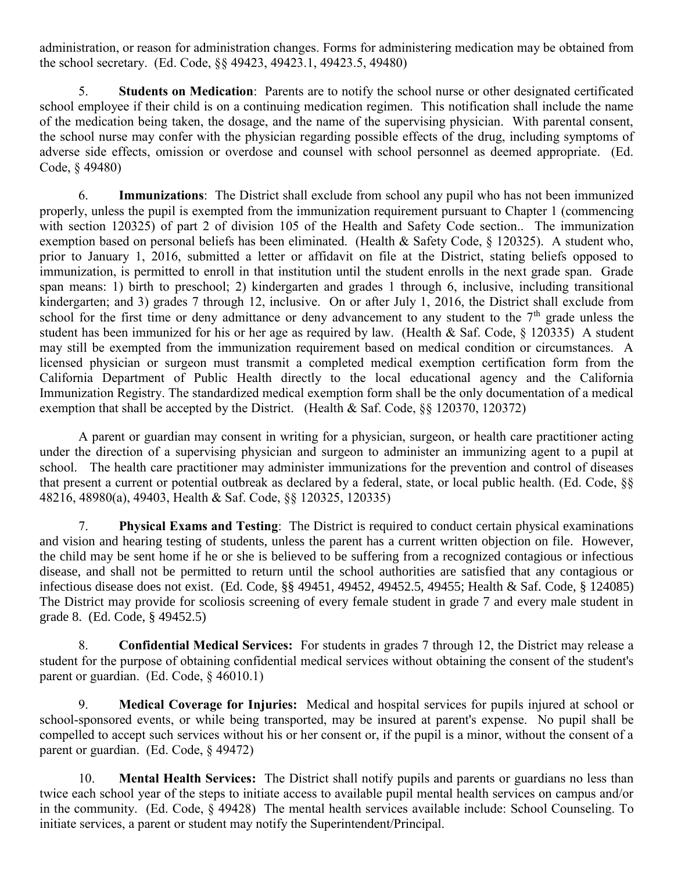administration, or reason for administration changes. Forms for administering medication may be obtained from the school secretary. (Ed. Code, §§ 49423, 49423.1, 49423.5, 49480)

5. **Students on Medication**: Parents are to notify the school nurse or other designated certificated school employee if their child is on a continuing medication regimen. This notification shall include the name of the medication being taken, the dosage, and the name of the supervising physician. With parental consent, the school nurse may confer with the physician regarding possible effects of the drug, including symptoms of adverse side effects, omission or overdose and counsel with school personnel as deemed appropriate. (Ed. Code, § 49480)

6. **Immunizations**: The District shall exclude from school any pupil who has not been immunized properly, unless the pupil is exempted from the immunization requirement pursuant to Chapter 1 (commencing with section 120325) of part 2 of division 105 of the Health and Safety Code section.. The immunization exemption based on personal beliefs has been eliminated. (Health & Safety Code, § 120325). A student who, prior to January 1, 2016, submitted a letter or affidavit on file at the District, stating beliefs opposed to immunization, is permitted to enroll in that institution until the student enrolls in the next grade span. Grade span means: 1) birth to preschool; 2) kindergarten and grades 1 through 6, inclusive, including transitional kindergarten; and 3) grades 7 through 12, inclusive. On or after July 1, 2016, the District shall exclude from school for the first time or deny admittance or deny advancement to any student to the 7<sup>th</sup> grade unless the student has been immunized for his or her age as required by law. (Health & Saf. Code, § 120335) A student may still be exempted from the immunization requirement based on medical condition or circumstances. A licensed physician or surgeon must transmit a completed medical exemption certification form from the California Department of Public Health directly to the local educational agency and the California Immunization Registry. The standardized medical exemption form shall be the only documentation of a medical exemption that shall be accepted by the District. (Health & Saf. Code, §§ 120370, 120372)

A parent or guardian may consent in writing for a physician, surgeon, or health care practitioner acting under the direction of a supervising physician and surgeon to administer an immunizing agent to a pupil at school. The health care practitioner may administer immunizations for the prevention and control of diseases that present a current or potential outbreak as declared by a federal, state, or local public health. (Ed. Code, §§ 48216, 48980(a), 49403, Health & Saf. Code, §§ 120325, 120335)

7. **Physical Exams and Testing**: The District is required to conduct certain physical examinations and vision and hearing testing of students, unless the parent has a current written objection on file. However, the child may be sent home if he or she is believed to be suffering from a recognized contagious or infectious disease, and shall not be permitted to return until the school authorities are satisfied that any contagious or infectious disease does not exist. (Ed. Code, §§ 49451, 49452, 49452.5, 49455; Health & Saf. Code, § 124085) The District may provide for scoliosis screening of every female student in grade 7 and every male student in grade 8. (Ed. Code, § 49452.5)

8. **Confidential Medical Services:** For students in grades 7 through 12, the District may release a student for the purpose of obtaining confidential medical services without obtaining the consent of the student's parent or guardian. (Ed. Code, § 46010.1)

9. **Medical Coverage for Injuries:** Medical and hospital services for pupils injured at school or school-sponsored events, or while being transported, may be insured at parent's expense. No pupil shall be compelled to accept such services without his or her consent or, if the pupil is a minor, without the consent of a parent or guardian. (Ed. Code, § 49472)

10. **Mental Health Services:** The District shall notify pupils and parents or guardians no less than twice each school year of the steps to initiate access to available pupil mental health services on campus and/or in the community. (Ed. Code, § 49428) The mental health services available include: School Counseling. To initiate services, a parent or student may notify the Superintendent/Principal.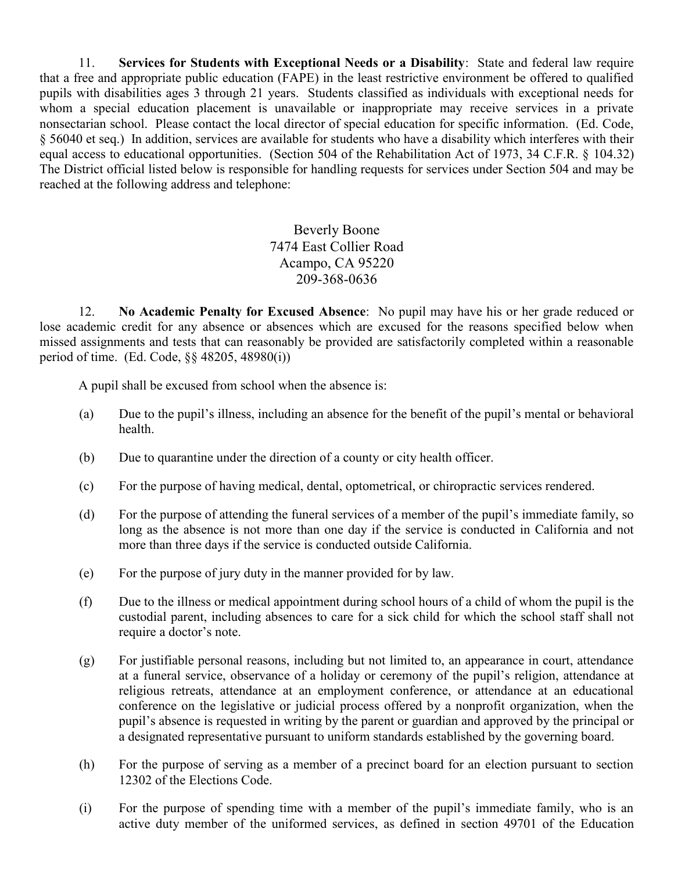11. **Services for Students with Exceptional Needs or a Disability**: State and federal law require that a free and appropriate public education (FAPE) in the least restrictive environment be offered to qualified pupils with disabilities ages 3 through 21 years. Students classified as individuals with exceptional needs for whom a special education placement is unavailable or inappropriate may receive services in a private nonsectarian school. Please contact the local director of special education for specific information. (Ed. Code, § 56040 et seq.) In addition, services are available for students who have a disability which interferes with their equal access to educational opportunities. (Section 504 of the Rehabilitation Act of 1973, 34 C.F.R. § 104.32) The District official listed below is responsible for handling requests for services under Section 504 and may be reached at the following address and telephone:

> Beverly Boone 7474 East Collier Road Acampo, CA 95220 209-368-0636

12. **No Academic Penalty for Excused Absence**: No pupil may have his or her grade reduced or lose academic credit for any absence or absences which are excused for the reasons specified below when missed assignments and tests that can reasonably be provided are satisfactorily completed within a reasonable period of time. (Ed. Code, §§ 48205, 48980(i))

A pupil shall be excused from school when the absence is:

- (a) Due to the pupil's illness, including an absence for the benefit of the pupil's mental or behavioral health.
- (b) Due to quarantine under the direction of a county or city health officer.
- (c) For the purpose of having medical, dental, optometrical, or chiropractic services rendered.
- (d) For the purpose of attending the funeral services of a member of the pupil's immediate family, so long as the absence is not more than one day if the service is conducted in California and not more than three days if the service is conducted outside California.
- (e) For the purpose of jury duty in the manner provided for by law.
- (f) Due to the illness or medical appointment during school hours of a child of whom the pupil is the custodial parent, including absences to care for a sick child for which the school staff shall not require a doctor's note.
- (g) For justifiable personal reasons, including but not limited to, an appearance in court, attendance at a funeral service, observance of a holiday or ceremony of the pupil's religion, attendance at religious retreats, attendance at an employment conference, or attendance at an educational conference on the legislative or judicial process offered by a nonprofit organization, when the pupil's absence is requested in writing by the parent or guardian and approved by the principal or a designated representative pursuant to uniform standards established by the governing board.
- (h) For the purpose of serving as a member of a precinct board for an election pursuant to section 12302 of the Elections Code.
- (i) For the purpose of spending time with a member of the pupil's immediate family, who is an active duty member of the uniformed services, as defined in section 49701 of the Education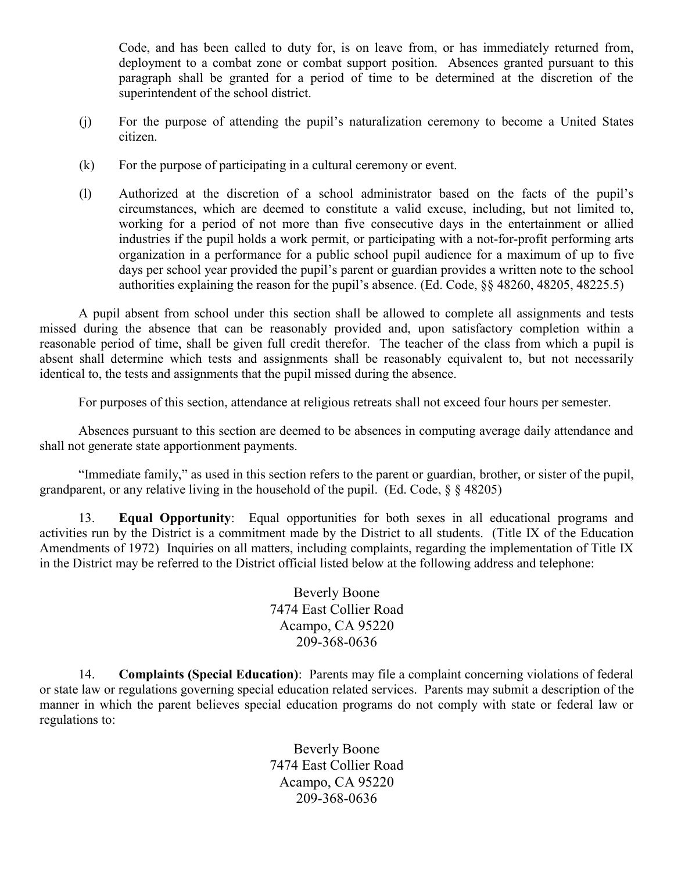Code, and has been called to duty for, is on leave from, or has immediately returned from, deployment to a combat zone or combat support position. Absences granted pursuant to this paragraph shall be granted for a period of time to be determined at the discretion of the superintendent of the school district.

- (j) For the purpose of attending the pupil's naturalization ceremony to become a United States citizen.
- (k) For the purpose of participating in a cultural ceremony or event.
- (l) Authorized at the discretion of a school administrator based on the facts of the pupil's circumstances, which are deemed to constitute a valid excuse, including, but not limited to, working for a period of not more than five consecutive days in the entertainment or allied industries if the pupil holds a work permit, or participating with a not-for-profit performing arts organization in a performance for a public school pupil audience for a maximum of up to five days per school year provided the pupil's parent or guardian provides a written note to the school authorities explaining the reason for the pupil's absence. (Ed. Code, §§ 48260, 48205, 48225.5)

A pupil absent from school under this section shall be allowed to complete all assignments and tests missed during the absence that can be reasonably provided and, upon satisfactory completion within a reasonable period of time, shall be given full credit therefor. The teacher of the class from which a pupil is absent shall determine which tests and assignments shall be reasonably equivalent to, but not necessarily identical to, the tests and assignments that the pupil missed during the absence.

For purposes of this section, attendance at religious retreats shall not exceed four hours per semester.

Absences pursuant to this section are deemed to be absences in computing average daily attendance and shall not generate state apportionment payments.

"Immediate family," as used in this section refers to the parent or guardian, brother, or sister of the pupil, grandparent, or any relative living in the household of the pupil. (Ed. Code,  $\S$   $\S$  48205)

13. **Equal Opportunity**: Equal opportunities for both sexes in all educational programs and activities run by the District is a commitment made by the District to all students. (Title IX of the Education Amendments of 1972) Inquiries on all matters, including complaints, regarding the implementation of Title IX in the District may be referred to the District official listed below at the following address and telephone:

> Beverly Boone 7474 East Collier Road Acampo, CA 95220 209-368-0636

14. **Complaints (Special Education)**: Parents may file a complaint concerning violations of federal or state law or regulations governing special education related services. Parents may submit a description of the manner in which the parent believes special education programs do not comply with state or federal law or regulations to:

> Beverly Boone 7474 East Collier Road Acampo, CA 95220 209-368-0636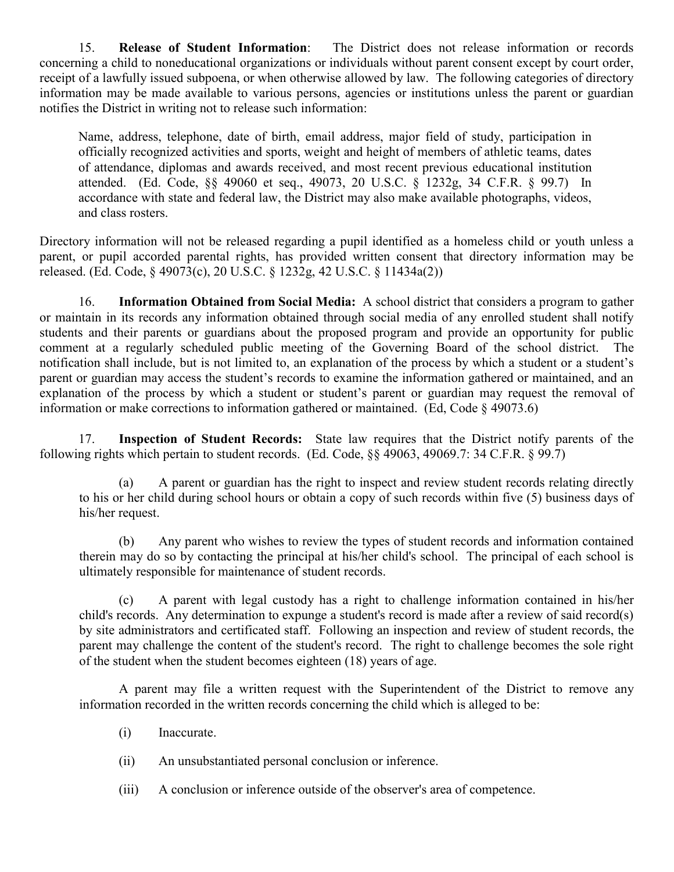15. **Release of Student Information**: The District does not release information or records concerning a child to noneducational organizations or individuals without parent consent except by court order, receipt of a lawfully issued subpoena, or when otherwise allowed by law. The following categories of directory information may be made available to various persons, agencies or institutions unless the parent or guardian notifies the District in writing not to release such information:

Name, address, telephone, date of birth, email address, major field of study, participation in officially recognized activities and sports, weight and height of members of athletic teams, dates of attendance, diplomas and awards received, and most recent previous educational institution attended. (Ed. Code, §§ 49060 et seq., 49073, 20 U.S.C. § 1232g, 34 C.F.R. § 99.7) In accordance with state and federal law, the District may also make available photographs, videos, and class rosters.

Directory information will not be released regarding a pupil identified as a homeless child or youth unless a parent, or pupil accorded parental rights, has provided written consent that directory information may be released. (Ed. Code, § 49073(c), 20 U.S.C. § 1232g, 42 U.S.C. § 11434a(2))

16. **Information Obtained from Social Media:** A school district that considers a program to gather or maintain in its records any information obtained through social media of any enrolled student shall notify students and their parents or guardians about the proposed program and provide an opportunity for public comment at a regularly scheduled public meeting of the Governing Board of the school district. The notification shall include, but is not limited to, an explanation of the process by which a student or a student's parent or guardian may access the student's records to examine the information gathered or maintained, and an explanation of the process by which a student or student's parent or guardian may request the removal of information or make corrections to information gathered or maintained. (Ed, Code § 49073.6)

17. **Inspection of Student Records:** State law requires that the District notify parents of the following rights which pertain to student records. (Ed. Code, §§ 49063, 49069.7: 34 C.F.R. § 99.7)

(a) A parent or guardian has the right to inspect and review student records relating directly to his or her child during school hours or obtain a copy of such records within five (5) business days of his/her request.

(b) Any parent who wishes to review the types of student records and information contained therein may do so by contacting the principal at his/her child's school. The principal of each school is ultimately responsible for maintenance of student records.

(c) A parent with legal custody has a right to challenge information contained in his/her child's records. Any determination to expunge a student's record is made after a review of said record(s) by site administrators and certificated staff. Following an inspection and review of student records, the parent may challenge the content of the student's record. The right to challenge becomes the sole right of the student when the student becomes eighteen (18) years of age.

A parent may file a written request with the Superintendent of the District to remove any information recorded in the written records concerning the child which is alleged to be:

- (i) Inaccurate.
- (ii) An unsubstantiated personal conclusion or inference.
- (iii) A conclusion or inference outside of the observer's area of competence.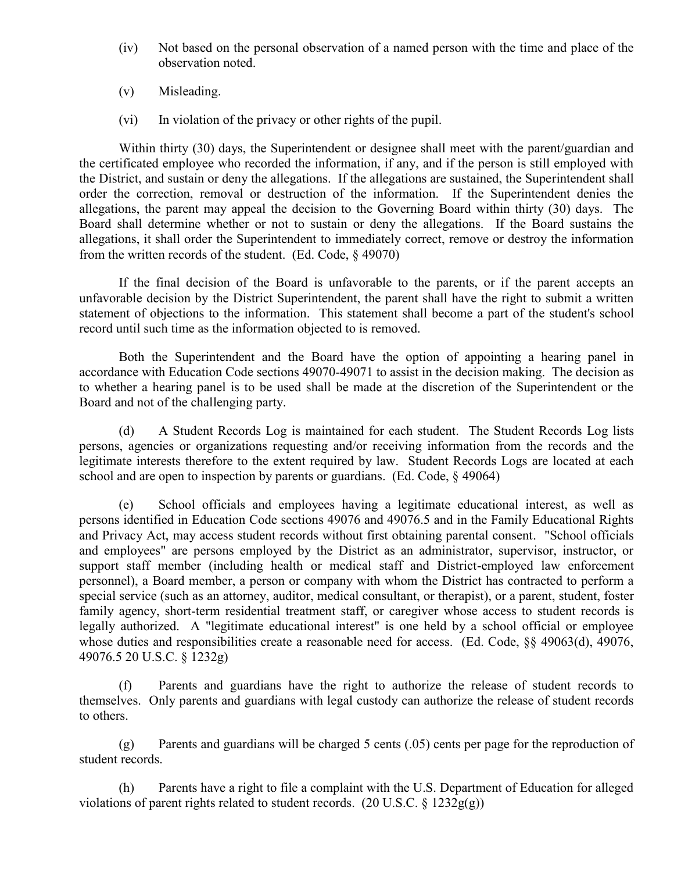- (iv) Not based on the personal observation of a named person with the time and place of the observation noted.
- (v) Misleading.
- (vi) In violation of the privacy or other rights of the pupil.

Within thirty (30) days, the Superintendent or designee shall meet with the parent/guardian and the certificated employee who recorded the information, if any, and if the person is still employed with the District, and sustain or deny the allegations. If the allegations are sustained, the Superintendent shall order the correction, removal or destruction of the information. If the Superintendent denies the allegations, the parent may appeal the decision to the Governing Board within thirty (30) days. The Board shall determine whether or not to sustain or deny the allegations. If the Board sustains the allegations, it shall order the Superintendent to immediately correct, remove or destroy the information from the written records of the student. (Ed. Code, § 49070)

If the final decision of the Board is unfavorable to the parents, or if the parent accepts an unfavorable decision by the District Superintendent, the parent shall have the right to submit a written statement of objections to the information. This statement shall become a part of the student's school record until such time as the information objected to is removed.

Both the Superintendent and the Board have the option of appointing a hearing panel in accordance with Education Code sections 49070-49071 to assist in the decision making. The decision as to whether a hearing panel is to be used shall be made at the discretion of the Superintendent or the Board and not of the challenging party.

(d) A Student Records Log is maintained for each student. The Student Records Log lists persons, agencies or organizations requesting and/or receiving information from the records and the legitimate interests therefore to the extent required by law. Student Records Logs are located at each school and are open to inspection by parents or guardians. (Ed. Code, § 49064)

(e) School officials and employees having a legitimate educational interest, as well as persons identified in Education Code sections 49076 and 49076.5 and in the Family Educational Rights and Privacy Act, may access student records without first obtaining parental consent. "School officials and employees" are persons employed by the District as an administrator, supervisor, instructor, or support staff member (including health or medical staff and District-employed law enforcement personnel), a Board member, a person or company with whom the District has contracted to perform a special service (such as an attorney, auditor, medical consultant, or therapist), or a parent, student, foster family agency, short-term residential treatment staff, or caregiver whose access to student records is legally authorized. A "legitimate educational interest" is one held by a school official or employee whose duties and responsibilities create a reasonable need for access. (Ed. Code, §§ 49063(d), 49076, 49076.5 20 U.S.C. § 1232g)

(f) Parents and guardians have the right to authorize the release of student records to themselves. Only parents and guardians with legal custody can authorize the release of student records to others.

(g) Parents and guardians will be charged 5 cents (.05) cents per page for the reproduction of student records.

(h) Parents have a right to file a complaint with the U.S. Department of Education for alleged violations of parent rights related to student records. (20 U.S.C.  $\S$  1232g(g))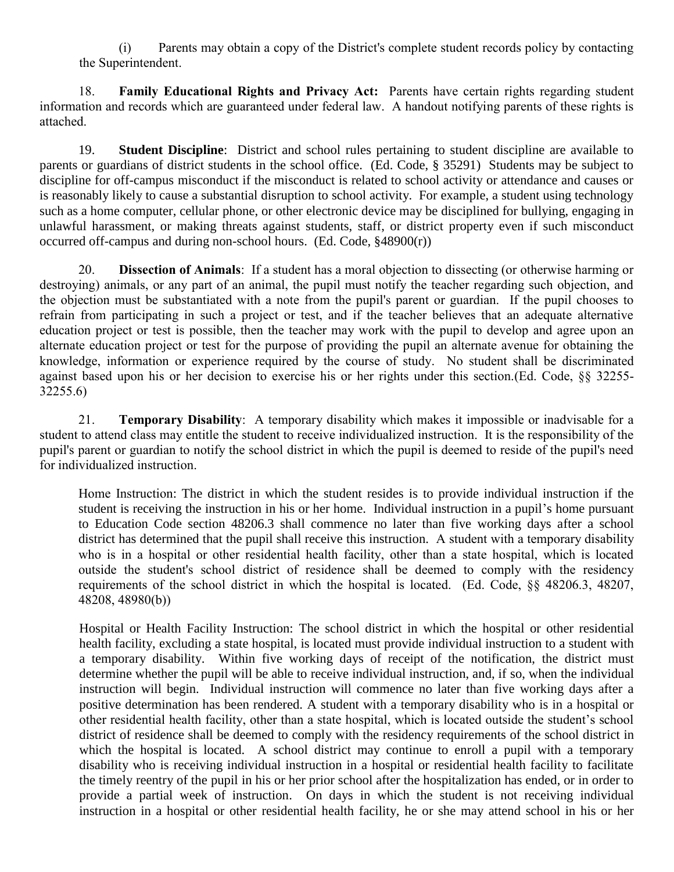(i) Parents may obtain a copy of the District's complete student records policy by contacting the Superintendent.

18. **Family Educational Rights and Privacy Act:** Parents have certain rights regarding student information and records which are guaranteed under federal law. A handout notifying parents of these rights is attached.

19. **Student Discipline**: District and school rules pertaining to student discipline are available to parents or guardians of district students in the school office. (Ed. Code, § 35291) Students may be subject to discipline for off-campus misconduct if the misconduct is related to school activity or attendance and causes or is reasonably likely to cause a substantial disruption to school activity. For example, a student using technology such as a home computer, cellular phone, or other electronic device may be disciplined for bullying, engaging in unlawful harassment, or making threats against students, staff, or district property even if such misconduct occurred off-campus and during non-school hours. (Ed. Code, §48900(r))

20. **Dissection of Animals**: If a student has a moral objection to dissecting (or otherwise harming or destroying) animals, or any part of an animal, the pupil must notify the teacher regarding such objection, and the objection must be substantiated with a note from the pupil's parent or guardian. If the pupil chooses to refrain from participating in such a project or test, and if the teacher believes that an adequate alternative education project or test is possible, then the teacher may work with the pupil to develop and agree upon an alternate education project or test for the purpose of providing the pupil an alternate avenue for obtaining the knowledge, information or experience required by the course of study. No student shall be discriminated against based upon his or her decision to exercise his or her rights under this section.(Ed. Code, §§ 32255- 32255.6)

21. **Temporary Disability**: A temporary disability which makes it impossible or inadvisable for a student to attend class may entitle the student to receive individualized instruction. It is the responsibility of the pupil's parent or guardian to notify the school district in which the pupil is deemed to reside of the pupil's need for individualized instruction.

Home Instruction: The district in which the student resides is to provide individual instruction if the student is receiving the instruction in his or her home. Individual instruction in a pupil's home pursuant to Education Code section 48206.3 shall commence no later than five working days after a school district has determined that the pupil shall receive this instruction. A student with a temporary disability who is in a hospital or other residential health facility, other than a state hospital, which is located outside the student's school district of residence shall be deemed to comply with the residency requirements of the school district in which the hospital is located. (Ed. Code, §§ 48206.3, 48207, 48208, 48980(b))

Hospital or Health Facility Instruction: The school district in which the hospital or other residential health facility, excluding a state hospital, is located must provide individual instruction to a student with a temporary disability. Within five working days of receipt of the notification, the district must determine whether the pupil will be able to receive individual instruction, and, if so, when the individual instruction will begin. Individual instruction will commence no later than five working days after a positive determination has been rendered. A student with a temporary disability who is in a hospital or other residential health facility, other than a state hospital, which is located outside the student's school district of residence shall be deemed to comply with the residency requirements of the school district in which the hospital is located. A school district may continue to enroll a pupil with a temporary disability who is receiving individual instruction in a hospital or residential health facility to facilitate the timely reentry of the pupil in his or her prior school after the hospitalization has ended, or in order to provide a partial week of instruction. On days in which the student is not receiving individual instruction in a hospital or other residential health facility, he or she may attend school in his or her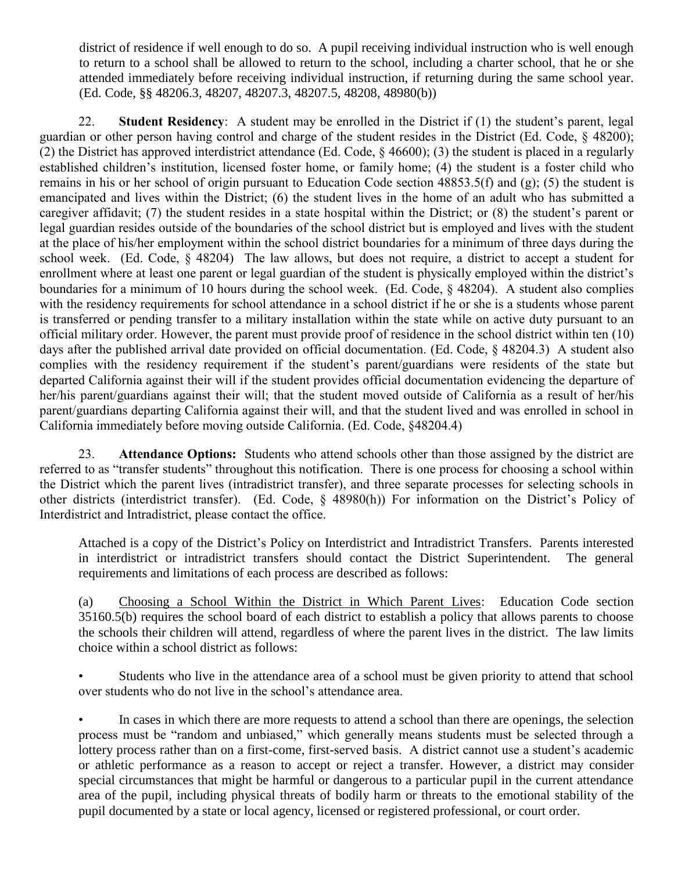district of residence if well enough to do so. A pupil receiving individual instruction who is well enough to return to a school shall be allowed to return to the school, including a charter school, that he or she attended immediately before receiving individual instruction, if returning during the same school year. (Ed. Code, §§ 48206.3, 48207, 48207.3, 48207.5, 48208, 48980(b))

22. **Student Residency**: A student may be enrolled in the District if (1) the student's parent, legal guardian or other person having control and charge of the student resides in the District (Ed. Code, § 48200); (2) the District has approved interdistrict attendance (Ed. Code, § 46600); (3) the student is placed in a regularly established children's institution, licensed foster home, or family home; (4) the student is a foster child who remains in his or her school of origin pursuant to Education Code section 48853.5(f) and (g); (5) the student is emancipated and lives within the District; (6) the student lives in the home of an adult who has submitted a caregiver affidavit; (7) the student resides in a state hospital within the District; or (8) the student's parent or legal guardian resides outside of the boundaries of the school district but is employed and lives with the student at the place of his/her employment within the school district boundaries for a minimum of three days during the school week. (Ed. Code, § 48204) The law allows, but does not require, a district to accept a student for enrollment where at least one parent or legal guardian of the student is physically employed within the district's boundaries for a minimum of 10 hours during the school week. (Ed. Code,  $\&$  48204). A student also complies with the residency requirements for school attendance in a school district if he or she is a students whose parent is transferred or pending transfer to a military installation within the state while on active duty pursuant to an official military order. However, the parent must provide proof of residence in the school district within ten (10) days after the published arrival date provided on official documentation. (Ed. Code, § 48204.3) A student also complies with the residency requirement if the student's parent/guardians were residents of the state but departed California against their will if the student provides official documentation evidencing the departure of her/his parent/guardians against their will; that the student moved outside of California as a result of her/his parent/guardians departing California against their will, and that the student lived and was enrolled in school in California immediately before moving outside California. (Ed. Code, §48204.4)

23. **Attendance Options:** Students who attend schools other than those assigned by the district are referred to as "transfer students" throughout this notification. There is one process for choosing a school within the District which the parent lives (intradistrict transfer), and three separate processes for selecting schools in other districts (interdistrict transfer). (Ed. Code, § 48980(h)) For information on the District's Policy of Interdistrict and Intradistrict, please contact the office.

Attached is a copy of the District's Policy on Interdistrict and Intradistrict Transfers. Parents interested in interdistrict or intradistrict transfers should contact the District Superintendent. The general requirements and limitations of each process are described as follows:

(a) Choosing a School Within the District in Which Parent Lives: Education Code section 35160.5(b) requires the school board of each district to establish a policy that allows parents to choose the schools their children will attend, regardless of where the parent lives in the district. The law limits choice within a school district as follows:

Students who live in the attendance area of a school must be given priority to attend that school over students who do not live in the school's attendance area.

In cases in which there are more requests to attend a school than there are openings, the selection process must be "random and unbiased," which generally means students must be selected through a lottery process rather than on a first-come, first-served basis. A district cannot use a student's academic or athletic performance as a reason to accept or reject a transfer. However, a district may consider special circumstances that might be harmful or dangerous to a particular pupil in the current attendance area of the pupil, including physical threats of bodily harm or threats to the emotional stability of the pupil documented by a state or local agency, licensed or registered professional, or court order.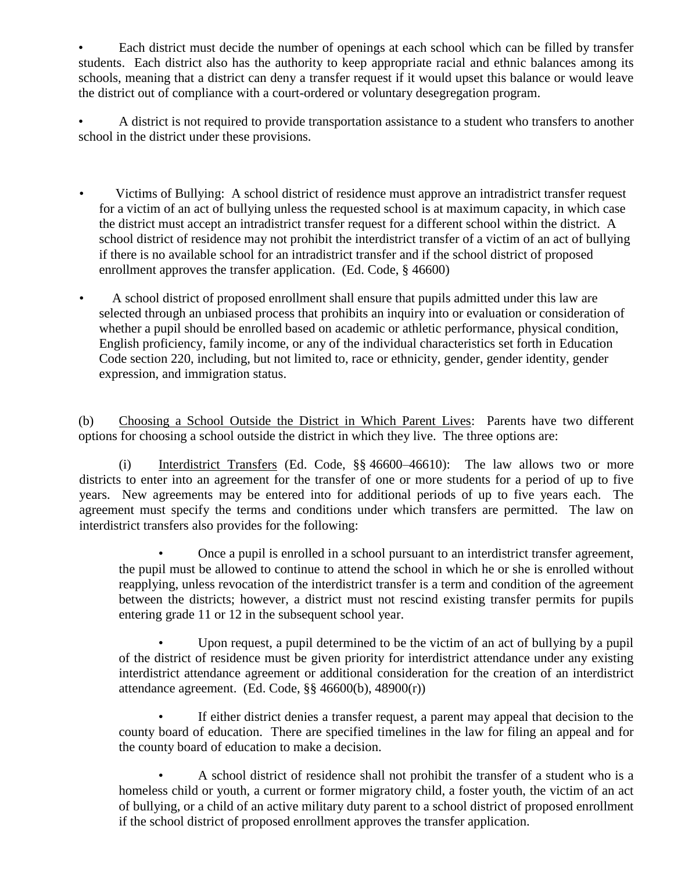Each district must decide the number of openings at each school which can be filled by transfer students. Each district also has the authority to keep appropriate racial and ethnic balances among its schools, meaning that a district can deny a transfer request if it would upset this balance or would leave the district out of compliance with a court-ordered or voluntary desegregation program.

• A district is not required to provide transportation assistance to a student who transfers to another school in the district under these provisions.

- Victims of Bullying: A school district of residence must approve an intradistrict transfer request for a victim of an act of bullying unless the requested school is at maximum capacity, in which case the district must accept an intradistrict transfer request for a different school within the district. A school district of residence may not prohibit the interdistrict transfer of a victim of an act of bullying if there is no available school for an intradistrict transfer and if the school district of proposed enrollment approves the transfer application. (Ed. Code, § 46600)
- A school district of proposed enrollment shall ensure that pupils admitted under this law are selected through an unbiased process that prohibits an inquiry into or evaluation or consideration of whether a pupil should be enrolled based on academic or athletic performance, physical condition, English proficiency, family income, or any of the individual characteristics set forth in Education Code section 220, including, but not limited to, race or ethnicity, gender, gender identity, gender expression, and immigration status.

(b) Choosing a School Outside the District in Which Parent Lives: Parents have two different options for choosing a school outside the district in which they live. The three options are:

(i) Interdistrict Transfers (Ed. Code, §§ 46600–46610): The law allows two or more districts to enter into an agreement for the transfer of one or more students for a period of up to five years. New agreements may be entered into for additional periods of up to five years each. The agreement must specify the terms and conditions under which transfers are permitted. The law on interdistrict transfers also provides for the following:

• Once a pupil is enrolled in a school pursuant to an interdistrict transfer agreement, the pupil must be allowed to continue to attend the school in which he or she is enrolled without reapplying, unless revocation of the interdistrict transfer is a term and condition of the agreement between the districts; however, a district must not rescind existing transfer permits for pupils entering grade 11 or 12 in the subsequent school year.

• Upon request, a pupil determined to be the victim of an act of bullying by a pupil of the district of residence must be given priority for interdistrict attendance under any existing interdistrict attendance agreement or additional consideration for the creation of an interdistrict attendance agreement. (Ed. Code, §§ 46600(b), 48900(r))

If either district denies a transfer request, a parent may appeal that decision to the county board of education. There are specified timelines in the law for filing an appeal and for the county board of education to make a decision.

• A school district of residence shall not prohibit the transfer of a student who is a homeless child or youth, a current or former migratory child, a foster youth, the victim of an act of bullying, or a child of an active military duty parent to a school district of proposed enrollment if the school district of proposed enrollment approves the transfer application.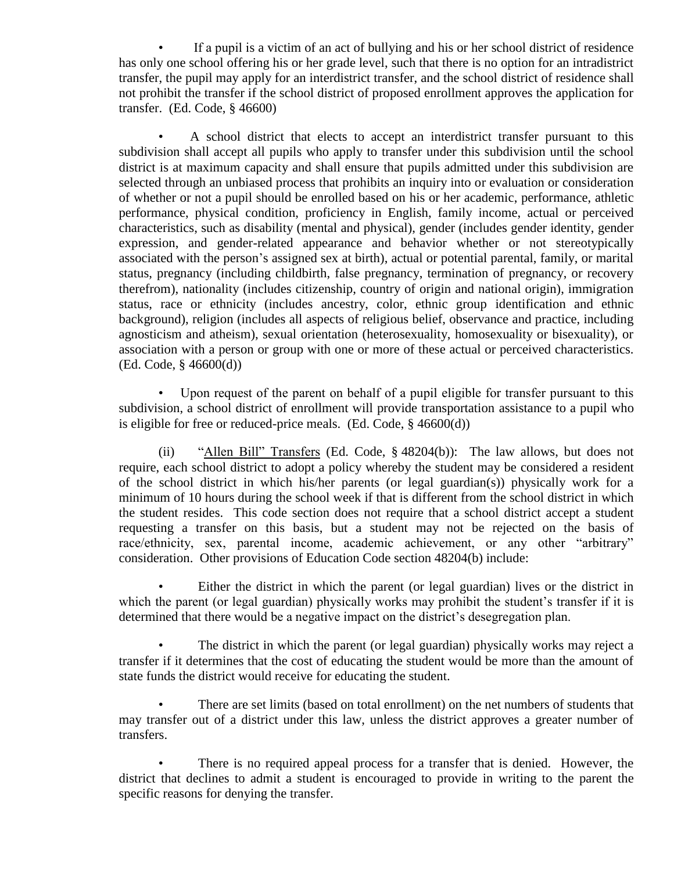• If a pupil is a victim of an act of bullying and his or her school district of residence has only one school offering his or her grade level, such that there is no option for an intradistrict transfer, the pupil may apply for an interdistrict transfer, and the school district of residence shall not prohibit the transfer if the school district of proposed enrollment approves the application for transfer. (Ed. Code, § 46600)

• A school district that elects to accept an interdistrict transfer pursuant to this subdivision shall accept all pupils who apply to transfer under this subdivision until the school district is at maximum capacity and shall ensure that pupils admitted under this subdivision are selected through an unbiased process that prohibits an inquiry into or evaluation or consideration of whether or not a pupil should be enrolled based on his or her academic, performance, athletic performance, physical condition, proficiency in English, family income, actual or perceived characteristics, such as disability (mental and physical), gender (includes gender identity, gender expression, and gender-related appearance and behavior whether or not stereotypically associated with the person's assigned sex at birth), actual or potential parental, family, or marital status, pregnancy (including childbirth, false pregnancy, termination of pregnancy, or recovery therefrom), nationality (includes citizenship, country of origin and national origin), immigration status, race or ethnicity (includes ancestry, color, ethnic group identification and ethnic background), religion (includes all aspects of religious belief, observance and practice, including agnosticism and atheism), sexual orientation (heterosexuality, homosexuality or bisexuality), or association with a person or group with one or more of these actual or perceived characteristics. (Ed. Code, § 46600(d))

Upon request of the parent on behalf of a pupil eligible for transfer pursuant to this subdivision, a school district of enrollment will provide transportation assistance to a pupil who is eligible for free or reduced-price meals. (Ed. Code, § 46600(d))

(ii) "Allen Bill" Transfers (Ed. Code, § 48204(b)): The law allows, but does not require, each school district to adopt a policy whereby the student may be considered a resident of the school district in which his/her parents (or legal guardian(s)) physically work for a minimum of 10 hours during the school week if that is different from the school district in which the student resides. This code section does not require that a school district accept a student requesting a transfer on this basis, but a student may not be rejected on the basis of race/ethnicity, sex, parental income, academic achievement, or any other "arbitrary" consideration. Other provisions of Education Code section 48204(b) include:

Either the district in which the parent (or legal guardian) lives or the district in which the parent (or legal guardian) physically works may prohibit the student's transfer if it is determined that there would be a negative impact on the district's desegregation plan.

The district in which the parent (or legal guardian) physically works may reject a transfer if it determines that the cost of educating the student would be more than the amount of state funds the district would receive for educating the student.

• There are set limits (based on total enrollment) on the net numbers of students that may transfer out of a district under this law, unless the district approves a greater number of transfers.

There is no required appeal process for a transfer that is denied. However, the district that declines to admit a student is encouraged to provide in writing to the parent the specific reasons for denying the transfer.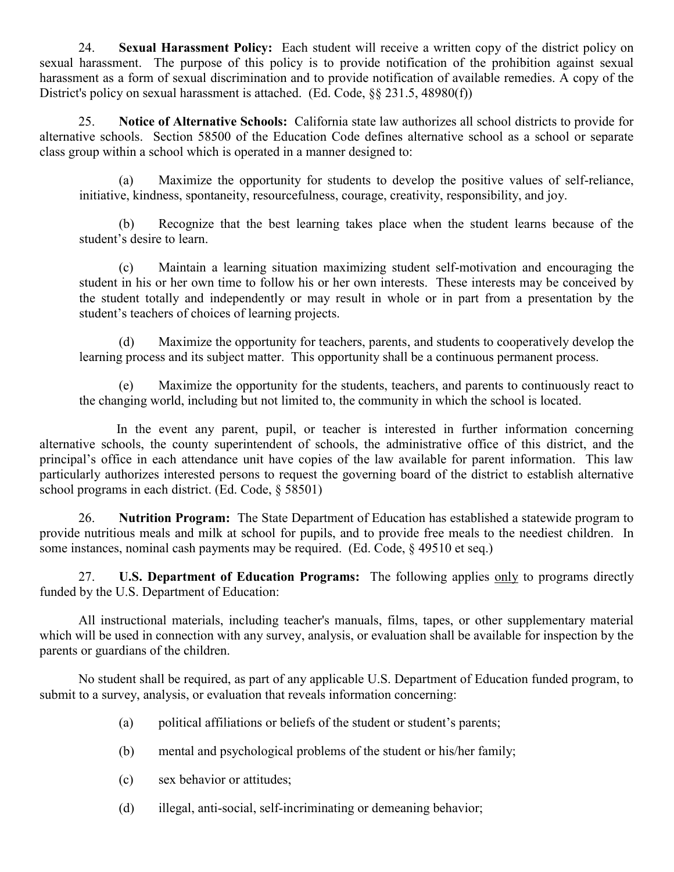24. **Sexual Harassment Policy:** Each student will receive a written copy of the district policy on sexual harassment. The purpose of this policy is to provide notification of the prohibition against sexual harassment as a form of sexual discrimination and to provide notification of available remedies. A copy of the District's policy on sexual harassment is attached. (Ed. Code, §§ 231.5, 48980(f))

25. **Notice of Alternative Schools:** California state law authorizes all school districts to provide for alternative schools. Section 58500 of the Education Code defines alternative school as a school or separate class group within a school which is operated in a manner designed to:

(a) Maximize the opportunity for students to develop the positive values of self-reliance, initiative, kindness, spontaneity, resourcefulness, courage, creativity, responsibility, and joy.

(b) Recognize that the best learning takes place when the student learns because of the student's desire to learn.

(c) Maintain a learning situation maximizing student self-motivation and encouraging the student in his or her own time to follow his or her own interests. These interests may be conceived by the student totally and independently or may result in whole or in part from a presentation by the student's teachers of choices of learning projects.

(d) Maximize the opportunity for teachers, parents, and students to cooperatively develop the learning process and its subject matter. This opportunity shall be a continuous permanent process.

(e) Maximize the opportunity for the students, teachers, and parents to continuously react to the changing world, including but not limited to, the community in which the school is located.

In the event any parent, pupil, or teacher is interested in further information concerning alternative schools, the county superintendent of schools, the administrative office of this district, and the principal's office in each attendance unit have copies of the law available for parent information. This law particularly authorizes interested persons to request the governing board of the district to establish alternative school programs in each district. (Ed. Code, § 58501)

26. **Nutrition Program:** The State Department of Education has established a statewide program to provide nutritious meals and milk at school for pupils, and to provide free meals to the neediest children. In some instances, nominal cash payments may be required. (Ed. Code, § 49510 et seq.)

27. **U.S. Department of Education Programs:** The following applies only to programs directly funded by the U.S. Department of Education:

All instructional materials, including teacher's manuals, films, tapes, or other supplementary material which will be used in connection with any survey, analysis, or evaluation shall be available for inspection by the parents or guardians of the children.

No student shall be required, as part of any applicable U.S. Department of Education funded program, to submit to a survey, analysis, or evaluation that reveals information concerning:

- (a) political affiliations or beliefs of the student or student's parents;
- (b) mental and psychological problems of the student or his/her family;
- (c) sex behavior or attitudes;
- (d) illegal, anti-social, self-incriminating or demeaning behavior;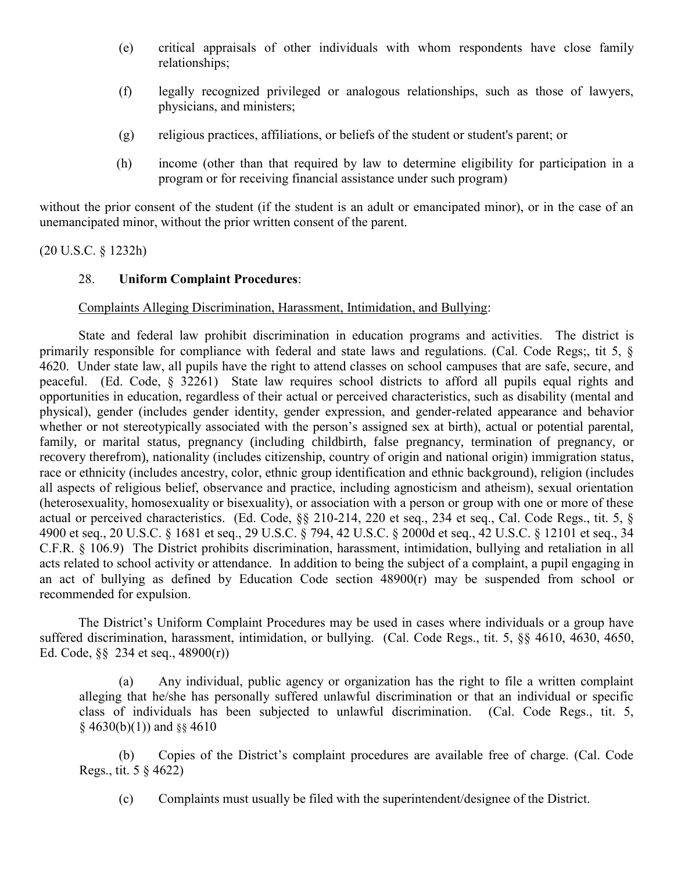- (e) critical appraisals of other individuals with whom respondents have close family relationships;
- (f) legally recognized privileged or analogous relationships, such as those of lawyers, physicians, and ministers;
- (g) religious practices, affiliations, or beliefs of the student or student's parent; or
- (h) income (other than that required by law to determine eligibility for participation in a program or for receiving financial assistance under such program)

without the prior consent of the student (if the student is an adult or emancipated minor), or in the case of an unemancipated minor, without the prior written consent of the parent.

(20 U.S.C. § 1232h)

### 28. **Uniform Complaint Procedures**:

### Complaints Alleging Discrimination, Harassment, Intimidation, and Bullying:

State and federal law prohibit discrimination in education programs and activities. The district is primarily responsible for compliance with federal and state laws and regulations. (Cal. Code Regs;, tit 5, § 4620. Under state law, all pupils have the right to attend classes on school campuses that are safe, secure, and peaceful. (Ed. Code, § 32261) State law requires school districts to afford all pupils equal rights and opportunities in education, regardless of their actual or perceived characteristics, such as disability (mental and physical), gender (includes gender identity, gender expression, and gender-related appearance and behavior whether or not stereotypically associated with the person's assigned sex at birth), actual or potential parental, family, or marital status, pregnancy (including childbirth, false pregnancy, termination of pregnancy, or recovery therefrom), nationality (includes citizenship, country of origin and national origin) immigration status, race or ethnicity (includes ancestry, color, ethnic group identification and ethnic background), religion (includes all aspects of religious belief, observance and practice, including agnosticism and atheism), sexual orientation (heterosexuality, homosexuality or bisexuality), or association with a person or group with one or more of these actual or perceived characteristics. (Ed. Code, §§ 210-214, 220 et seq., 234 et seq., Cal. Code Regs., tit. 5, § 4900 et seq., 20 U.S.C. § 1681 et seq., 29 U.S.C. § 794, 42 U.S.C. § 2000d et seq., 42 U.S.C. § 12101 et seq., 34 C.F.R. § 106.9) The District prohibits discrimination, harassment, intimidation, bullying and retaliation in all acts related to school activity or attendance. In addition to being the subject of a complaint, a pupil engaging in an act of bullying as defined by Education Code section 48900(r) may be suspended from school or recommended for expulsion.

The District's Uniform Complaint Procedures may be used in cases where individuals or a group have suffered discrimination, harassment, intimidation, or bullying. (Cal. Code Regs., tit. 5, §§ 4610, 4630, 4650, Ed. Code, §§ 234 et seq., 48900(r))

(a) Any individual, public agency or organization has the right to file a written complaint alleging that he/she has personally suffered unlawful discrimination or that an individual or specific class of individuals has been subjected to unlawful discrimination. (Cal. Code Regs., tit. 5,  $§$  4630(b)(1)) and  $§$ § 4610

(b) Copies of the District's complaint procedures are available free of charge. (Cal. Code Regs., tit. 5 § 4622)

(c) Complaints must usually be filed with the superintendent/designee of the District.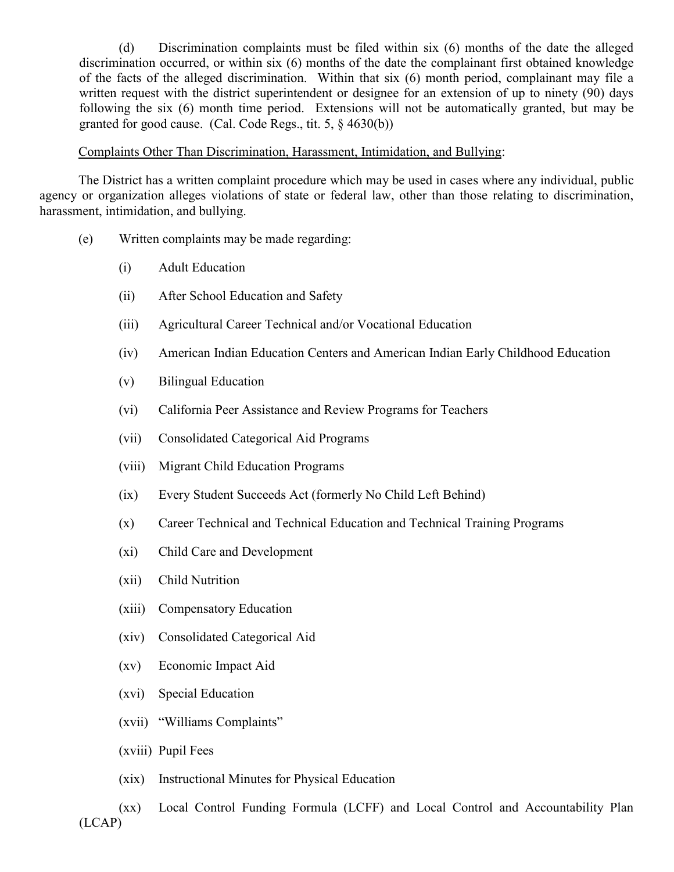(d) Discrimination complaints must be filed within six (6) months of the date the alleged discrimination occurred, or within six (6) months of the date the complainant first obtained knowledge of the facts of the alleged discrimination. Within that six (6) month period, complainant may file a written request with the district superintendent or designee for an extension of up to ninety (90) days following the six (6) month time period. Extensions will not be automatically granted, but may be granted for good cause. (Cal. Code Regs., tit. 5, § 4630(b))

#### Complaints Other Than Discrimination, Harassment, Intimidation, and Bullying:

The District has a written complaint procedure which may be used in cases where any individual, public agency or organization alleges violations of state or federal law, other than those relating to discrimination, harassment, intimidation, and bullying.

- (e) Written complaints may be made regarding:
	- (i) Adult Education
	- (ii) After School Education and Safety
	- (iii) Agricultural Career Technical and/or Vocational Education
	- (iv) American Indian Education Centers and American Indian Early Childhood Education
	- (v) Bilingual Education
	- (vi) California Peer Assistance and Review Programs for Teachers
	- (vii) Consolidated Categorical Aid Programs
	- (viii) Migrant Child Education Programs
	- (ix) Every Student Succeeds Act (formerly No Child Left Behind)
	- (x) Career Technical and Technical Education and Technical Training Programs
	- (xi) Child Care and Development
	- (xii) Child Nutrition
	- (xiii) Compensatory Education
	- (xiv) Consolidated Categorical Aid
	- (xv) Economic Impact Aid
	- (xvi) Special Education
	- (xvii) "Williams Complaints"
	- (xviii) Pupil Fees
	- (xix) Instructional Minutes for Physical Education

(xx) Local Control Funding Formula (LCFF) and Local Control and Accountability Plan (LCAP)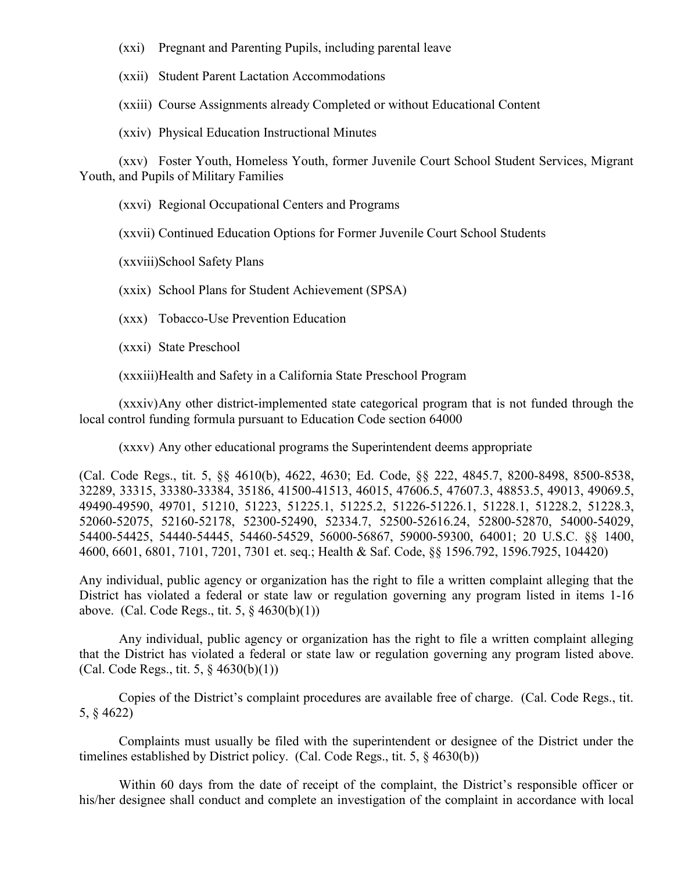(xxi) Pregnant and Parenting Pupils, including parental leave

(xxii) Student Parent Lactation Accommodations

(xxiii) Course Assignments already Completed or without Educational Content

(xxiv) Physical Education Instructional Minutes

(xxv) Foster Youth, Homeless Youth, former Juvenile Court School Student Services, Migrant Youth, and Pupils of Military Families

(xxvi) Regional Occupational Centers and Programs

(xxvii) Continued Education Options for Former Juvenile Court School Students

(xxviii)School Safety Plans

(xxix) School Plans for Student Achievement (SPSA)

(xxx) Tobacco-Use Prevention Education

(xxxi) State Preschool

(xxxiii)Health and Safety in a California State Preschool Program

(xxxiv)Any other district-implemented state categorical program that is not funded through the local control funding formula pursuant to Education Code section 64000

(xxxv) Any other educational programs the Superintendent deems appropriate

(Cal. Code Regs., tit. 5, §§ 4610(b), 4622, 4630; Ed. Code, §§ 222, 4845.7, 8200-8498, 8500-8538, 32289, 33315, 33380-33384, 35186, 41500-41513, 46015, 47606.5, 47607.3, 48853.5, 49013, 49069.5, 49490-49590, 49701, 51210, 51223, 51225.1, 51225.2, 51226-51226.1, 51228.1, 51228.2, 51228.3, 52060-52075, 52160-52178, 52300-52490, 52334.7, 52500-52616.24, 52800-52870, 54000-54029, 54400-54425, 54440-54445, 54460-54529, 56000-56867, 59000-59300, 64001; 20 U.S.C. §§ 1400, 4600, 6601, 6801, 7101, 7201, 7301 et. seq.; Health & Saf. Code, §§ 1596.792, 1596.7925, 104420)

Any individual, public agency or organization has the right to file a written complaint alleging that the District has violated a federal or state law or regulation governing any program listed in items 1-16 above. (Cal. Code Regs., tit. 5, § 4630(b)(1))

Any individual, public agency or organization has the right to file a written complaint alleging that the District has violated a federal or state law or regulation governing any program listed above. (Cal. Code Regs., tit. 5, § 4630(b)(1))

Copies of the District's complaint procedures are available free of charge. (Cal. Code Regs., tit. 5, § 4622)

Complaints must usually be filed with the superintendent or designee of the District under the timelines established by District policy. (Cal. Code Regs., tit. 5, § 4630(b))

Within 60 days from the date of receipt of the complaint, the District's responsible officer or his/her designee shall conduct and complete an investigation of the complaint in accordance with local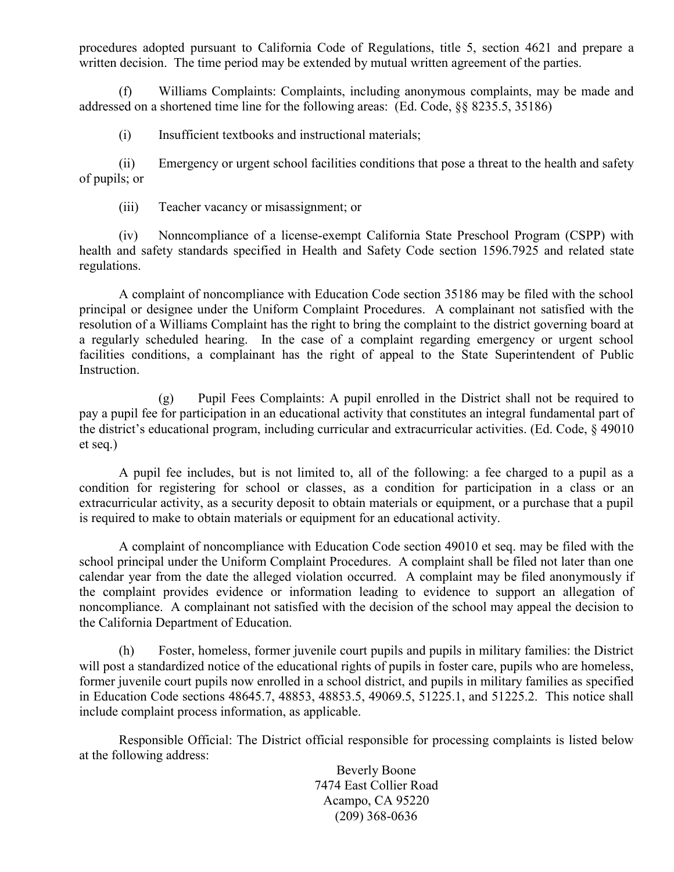procedures adopted pursuant to California Code of Regulations, title 5, section 4621 and prepare a written decision. The time period may be extended by mutual written agreement of the parties.

(f) Williams Complaints: Complaints, including anonymous complaints, may be made and addressed on a shortened time line for the following areas: (Ed. Code, §§ 8235.5, 35186)

(i) Insufficient textbooks and instructional materials;

(ii) Emergency or urgent school facilities conditions that pose a threat to the health and safety of pupils; or

(iii) Teacher vacancy or misassignment; or

(iv) Nonncompliance of a license-exempt California State Preschool Program (CSPP) with health and safety standards specified in Health and Safety Code section 1596.7925 and related state regulations.

A complaint of noncompliance with Education Code section 35186 may be filed with the school principal or designee under the Uniform Complaint Procedures. A complainant not satisfied with the resolution of a Williams Complaint has the right to bring the complaint to the district governing board at a regularly scheduled hearing. In the case of a complaint regarding emergency or urgent school facilities conditions, a complainant has the right of appeal to the State Superintendent of Public Instruction.

(g) Pupil Fees Complaints: A pupil enrolled in the District shall not be required to pay a pupil fee for participation in an educational activity that constitutes an integral fundamental part of the district's educational program, including curricular and extracurricular activities. (Ed. Code, § 49010 et seq.)

A pupil fee includes, but is not limited to, all of the following: a fee charged to a pupil as a condition for registering for school or classes, as a condition for participation in a class or an extracurricular activity, as a security deposit to obtain materials or equipment, or a purchase that a pupil is required to make to obtain materials or equipment for an educational activity.

A complaint of noncompliance with Education Code section 49010 et seq. may be filed with the school principal under the Uniform Complaint Procedures. A complaint shall be filed not later than one calendar year from the date the alleged violation occurred. A complaint may be filed anonymously if the complaint provides evidence or information leading to evidence to support an allegation of noncompliance. A complainant not satisfied with the decision of the school may appeal the decision to the California Department of Education.

(h) Foster, homeless, former juvenile court pupils and pupils in military families: the District will post a standardized notice of the educational rights of pupils in foster care, pupils who are homeless, former juvenile court pupils now enrolled in a school district, and pupils in military families as specified in Education Code sections 48645.7, 48853, 48853.5, 49069.5, 51225.1, and 51225.2. This notice shall include complaint process information, as applicable.

Responsible Official: The District official responsible for processing complaints is listed below at the following address:

> Beverly Boone 7474 East Collier Road Acampo, CA 95220 (209) 368-0636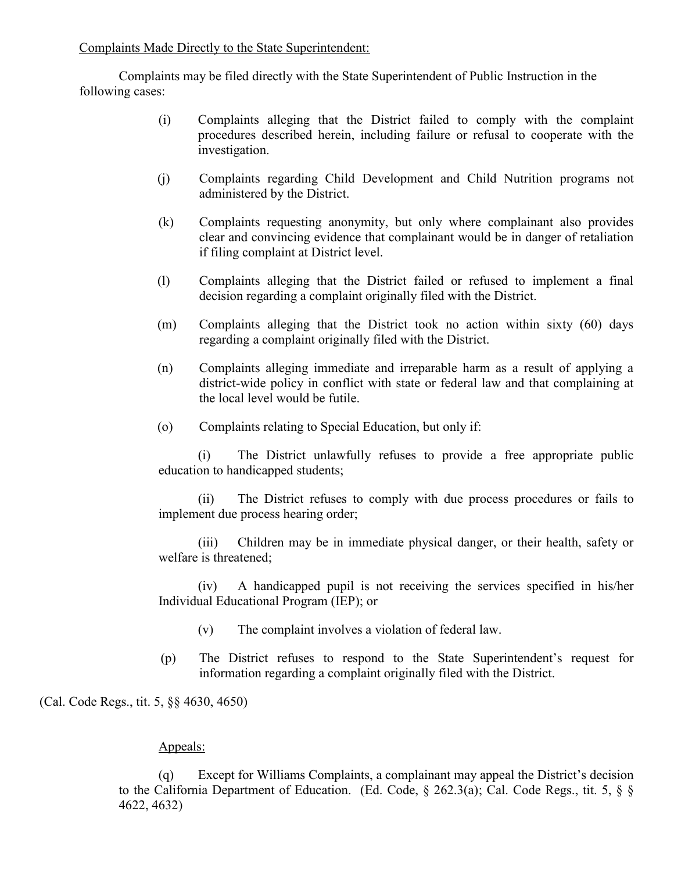Complaints Made Directly to the State Superintendent:

Complaints may be filed directly with the State Superintendent of Public Instruction in the following cases:

- (i) Complaints alleging that the District failed to comply with the complaint procedures described herein, including failure or refusal to cooperate with the investigation.
- (j) Complaints regarding Child Development and Child Nutrition programs not administered by the District.
- (k) Complaints requesting anonymity, but only where complainant also provides clear and convincing evidence that complainant would be in danger of retaliation if filing complaint at District level.
- (l) Complaints alleging that the District failed or refused to implement a final decision regarding a complaint originally filed with the District.
- (m) Complaints alleging that the District took no action within sixty (60) days regarding a complaint originally filed with the District.
- (n) Complaints alleging immediate and irreparable harm as a result of applying a district-wide policy in conflict with state or federal law and that complaining at the local level would be futile.
- (o) Complaints relating to Special Education, but only if:

(i) The District unlawfully refuses to provide a free appropriate public education to handicapped students;

(ii) The District refuses to comply with due process procedures or fails to implement due process hearing order;

(iii) Children may be in immediate physical danger, or their health, safety or welfare is threatened;

(iv) A handicapped pupil is not receiving the services specified in his/her Individual Educational Program (IEP); or

- (v) The complaint involves a violation of federal law.
- (p) The District refuses to respond to the State Superintendent's request for information regarding a complaint originally filed with the District.

(Cal. Code Regs., tit. 5, §§ 4630, 4650)

### Appeals:

(q) Except for Williams Complaints, a complainant may appeal the District's decision to the California Department of Education. (Ed. Code, § 262.3(a); Cal. Code Regs., tit. 5, § § 4622, 4632)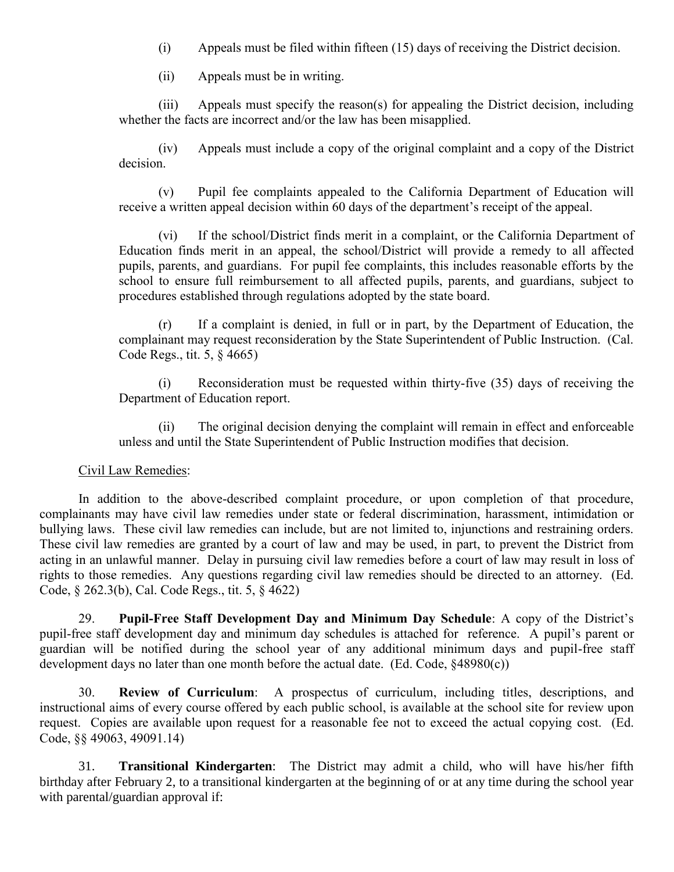- (i) Appeals must be filed within fifteen (15) days of receiving the District decision.
- (ii) Appeals must be in writing.

(iii) Appeals must specify the reason(s) for appealing the District decision, including whether the facts are incorrect and/or the law has been misapplied.

(iv) Appeals must include a copy of the original complaint and a copy of the District decision.

(v) Pupil fee complaints appealed to the California Department of Education will receive a written appeal decision within 60 days of the department's receipt of the appeal.

(vi) If the school/District finds merit in a complaint, or the California Department of Education finds merit in an appeal, the school/District will provide a remedy to all affected pupils, parents, and guardians. For pupil fee complaints, this includes reasonable efforts by the school to ensure full reimbursement to all affected pupils, parents, and guardians, subject to procedures established through regulations adopted by the state board.

(r) If a complaint is denied, in full or in part, by the Department of Education, the complainant may request reconsideration by the State Superintendent of Public Instruction. (Cal. Code Regs., tit. 5, § 4665)

(i) Reconsideration must be requested within thirty-five (35) days of receiving the Department of Education report.

(ii) The original decision denying the complaint will remain in effect and enforceable unless and until the State Superintendent of Public Instruction modifies that decision.

#### Civil Law Remedies:

In addition to the above-described complaint procedure, or upon completion of that procedure, complainants may have civil law remedies under state or federal discrimination, harassment, intimidation or bullying laws. These civil law remedies can include, but are not limited to, injunctions and restraining orders. These civil law remedies are granted by a court of law and may be used, in part, to prevent the District from acting in an unlawful manner. Delay in pursuing civil law remedies before a court of law may result in loss of rights to those remedies. Any questions regarding civil law remedies should be directed to an attorney. (Ed. Code, § 262.3(b), Cal. Code Regs., tit. 5, § 4622)

29. **Pupil-Free Staff Development Day and Minimum Day Schedule**: A copy of the District's pupil-free staff development day and minimum day schedules is attached for reference. A pupil's parent or guardian will be notified during the school year of any additional minimum days and pupil-free staff development days no later than one month before the actual date. (Ed. Code, §48980(c))

30. **Review of Curriculum**: A prospectus of curriculum, including titles, descriptions, and instructional aims of every course offered by each public school, is available at the school site for review upon request. Copies are available upon request for a reasonable fee not to exceed the actual copying cost. (Ed. Code, §§ 49063, 49091.14)

31. **Transitional Kindergarten**: The District may admit a child, who will have his/her fifth birthday after February 2, to a transitional kindergarten at the beginning of or at any time during the school year with parental/guardian approval if: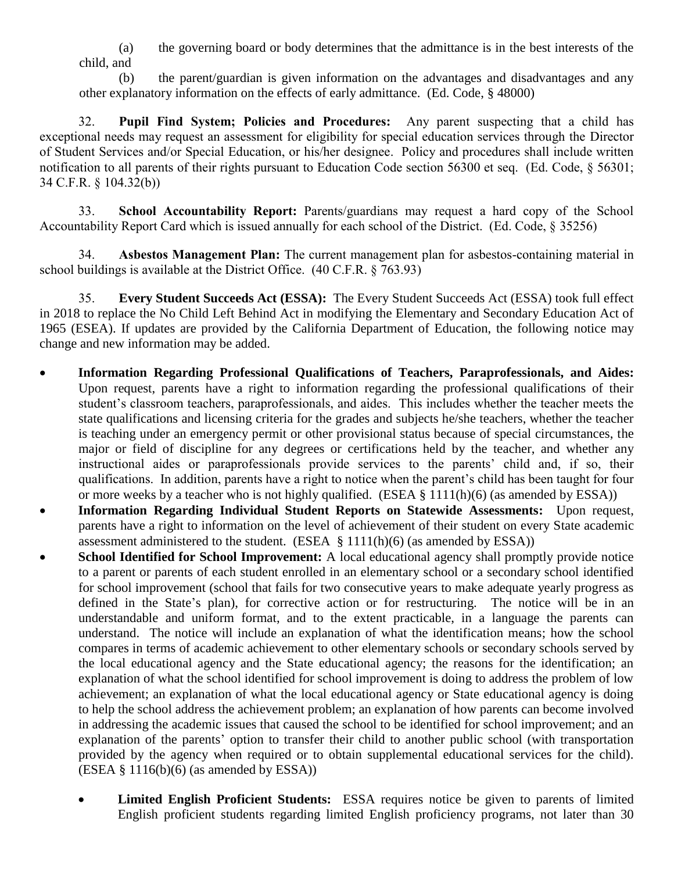(a) the governing board or body determines that the admittance is in the best interests of the child, and

(b) the parent/guardian is given information on the advantages and disadvantages and any other explanatory information on the effects of early admittance. (Ed. Code, § 48000)

32. **Pupil Find System; Policies and Procedures:** Any parent suspecting that a child has exceptional needs may request an assessment for eligibility for special education services through the Director of Student Services and/or Special Education, or his/her designee. Policy and procedures shall include written notification to all parents of their rights pursuant to Education Code section 56300 et seq. (Ed. Code, § 56301; 34 C.F.R. § 104.32(b))

33. **School Accountability Report:** Parents/guardians may request a hard copy of the School Accountability Report Card which is issued annually for each school of the District. (Ed. Code, § 35256)

34. **Asbestos Management Plan:** The current management plan for asbestos-containing material in school buildings is available at the District Office. (40 C.F.R. § 763.93)

35. **Every Student Succeeds Act (ESSA):** The Every Student Succeeds Act (ESSA) took full effect in 2018 to replace the No Child Left Behind Act in modifying the Elementary and Secondary Education Act of 1965 (ESEA). If updates are provided by the California Department of Education, the following notice may change and new information may be added.

- **Information Regarding Professional Qualifications of Teachers, Paraprofessionals, and Aides:** Upon request, parents have a right to information regarding the professional qualifications of their student's classroom teachers, paraprofessionals, and aides. This includes whether the teacher meets the state qualifications and licensing criteria for the grades and subjects he/she teachers, whether the teacher is teaching under an emergency permit or other provisional status because of special circumstances, the major or field of discipline for any degrees or certifications held by the teacher, and whether any instructional aides or paraprofessionals provide services to the parents' child and, if so, their qualifications. In addition, parents have a right to notice when the parent's child has been taught for four or more weeks by a teacher who is not highly qualified. (ESEA § 1111(h)(6) (as amended by ESSA))
- **Information Regarding Individual Student Reports on Statewide Assessments:** Upon request, parents have a right to information on the level of achievement of their student on every State academic assessment administered to the student. (ESEA  $\S$  1111(h)(6) (as amended by ESSA))
- **School Identified for School Improvement:** A local educational agency shall promptly provide notice to a parent or parents of each student enrolled in an elementary school or a secondary school identified for school improvement (school that fails for two consecutive years to make adequate yearly progress as defined in the State's plan), for corrective action or for restructuring. The notice will be in an understandable and uniform format, and to the extent practicable, in a language the parents can understand. The notice will include an explanation of what the identification means; how the school compares in terms of academic achievement to other elementary schools or secondary schools served by the local educational agency and the State educational agency; the reasons for the identification; an explanation of what the school identified for school improvement is doing to address the problem of low achievement; an explanation of what the local educational agency or State educational agency is doing to help the school address the achievement problem; an explanation of how parents can become involved in addressing the academic issues that caused the school to be identified for school improvement; and an explanation of the parents' option to transfer their child to another public school (with transportation provided by the agency when required or to obtain supplemental educational services for the child).  $(ESEA \S 1116(b)(6)$  (as amended by  $ESSA)$ )
	- **Limited English Proficient Students:** ESSA requires notice be given to parents of limited English proficient students regarding limited English proficiency programs, not later than 30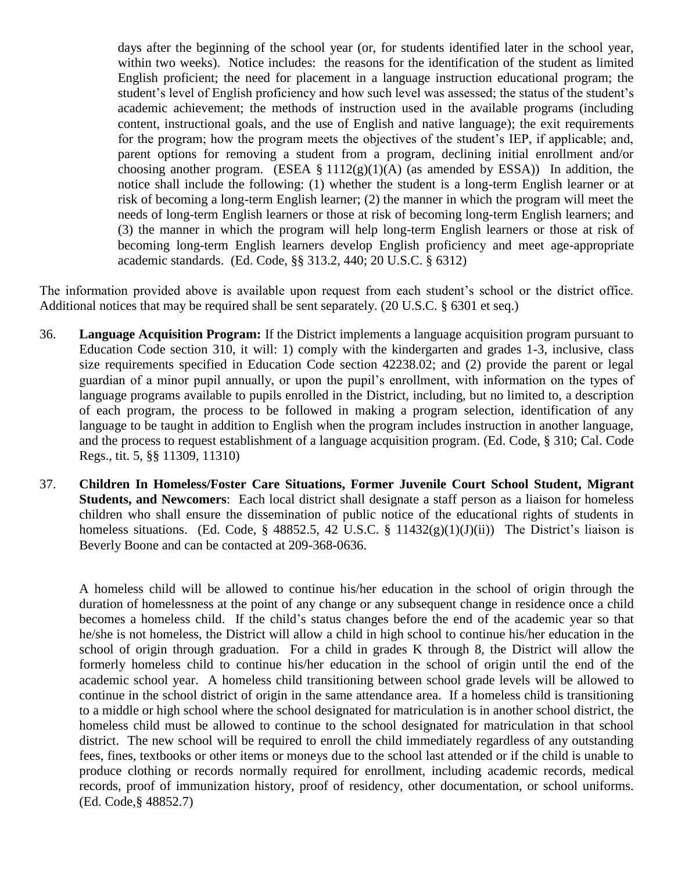days after the beginning of the school year (or, for students identified later in the school year, within two weeks). Notice includes: the reasons for the identification of the student as limited English proficient; the need for placement in a language instruction educational program; the student's level of English proficiency and how such level was assessed; the status of the student's academic achievement; the methods of instruction used in the available programs (including content, instructional goals, and the use of English and native language); the exit requirements for the program; how the program meets the objectives of the student's IEP, if applicable; and, parent options for removing a student from a program, declining initial enrollment and/or choosing another program. (ESEA  $\S 1112(g)(1)(A)$  (as amended by ESSA)) In addition, the notice shall include the following: (1) whether the student is a long-term English learner or at risk of becoming a long-term English learner; (2) the manner in which the program will meet the needs of long-term English learners or those at risk of becoming long-term English learners; and (3) the manner in which the program will help long-term English learners or those at risk of becoming long-term English learners develop English proficiency and meet age-appropriate academic standards. (Ed. Code, §§ 313.2, 440; 20 U.S.C. § 6312)

The information provided above is available upon request from each student's school or the district office. Additional notices that may be required shall be sent separately. (20 U.S.C. § 6301 et seq.)

- 36. **Language Acquisition Program:** If the District implements a language acquisition program pursuant to Education Code section 310, it will: 1) comply with the kindergarten and grades 1-3, inclusive, class size requirements specified in Education Code section 42238.02; and (2) provide the parent or legal guardian of a minor pupil annually, or upon the pupil's enrollment, with information on the types of language programs available to pupils enrolled in the District, including, but no limited to, a description of each program, the process to be followed in making a program selection, identification of any language to be taught in addition to English when the program includes instruction in another language, and the process to request establishment of a language acquisition program. (Ed. Code, § 310; Cal. Code Regs., tit. 5, §§ 11309, 11310)
- 37. **Children In Homeless/Foster Care Situations, Former Juvenile Court School Student, Migrant Students, and Newcomers**: Each local district shall designate a staff person as a liaison for homeless children who shall ensure the dissemination of public notice of the educational rights of students in homeless situations. (Ed. Code, § 48852.5, 42 U.S.C. § 11432 $(g)(1)(J)(ii)$ ) The District's liaison is Beverly Boone and can be contacted at 209-368-0636.

A homeless child will be allowed to continue his/her education in the school of origin through the duration of homelessness at the point of any change or any subsequent change in residence once a child becomes a homeless child. If the child's status changes before the end of the academic year so that he/she is not homeless, the District will allow a child in high school to continue his/her education in the school of origin through graduation. For a child in grades K through 8, the District will allow the formerly homeless child to continue his/her education in the school of origin until the end of the academic school year. A homeless child transitioning between school grade levels will be allowed to continue in the school district of origin in the same attendance area. If a homeless child is transitioning to a middle or high school where the school designated for matriculation is in another school district, the homeless child must be allowed to continue to the school designated for matriculation in that school district. The new school will be required to enroll the child immediately regardless of any outstanding fees, fines, textbooks or other items or moneys due to the school last attended or if the child is unable to produce clothing or records normally required for enrollment, including academic records, medical records, proof of immunization history, proof of residency, other documentation, or school uniforms. (Ed. Code,§ 48852.7)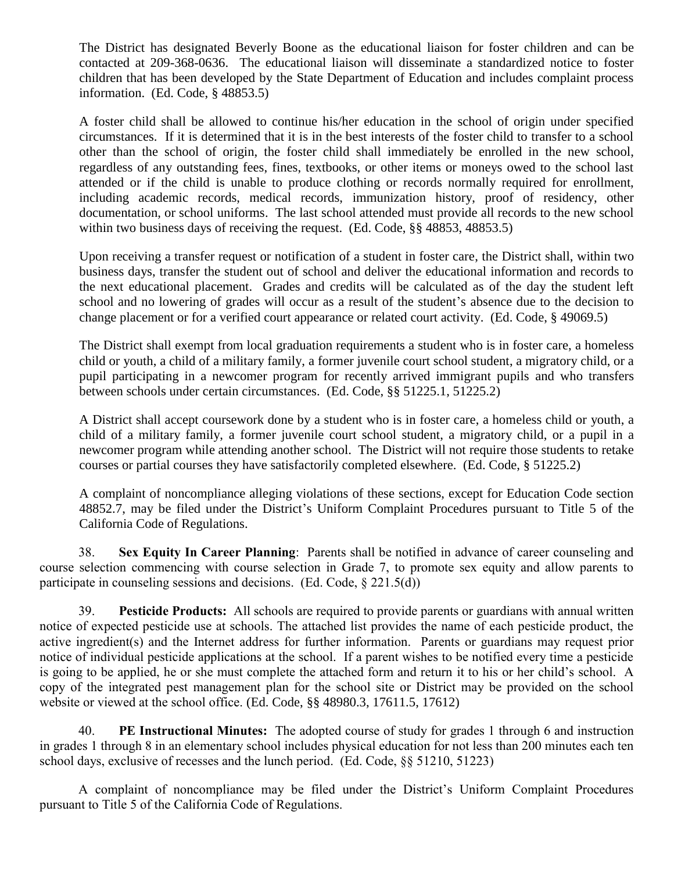The District has designated Beverly Boone as the educational liaison for foster children and can be contacted at 209-368-0636. The educational liaison will disseminate a standardized notice to foster children that has been developed by the State Department of Education and includes complaint process information. (Ed. Code, § 48853.5)

A foster child shall be allowed to continue his/her education in the school of origin under specified circumstances. If it is determined that it is in the best interests of the foster child to transfer to a school other than the school of origin, the foster child shall immediately be enrolled in the new school, regardless of any outstanding fees, fines, textbooks, or other items or moneys owed to the school last attended or if the child is unable to produce clothing or records normally required for enrollment, including academic records, medical records, immunization history, proof of residency, other documentation, or school uniforms. The last school attended must provide all records to the new school within two business days of receiving the request. (Ed. Code, §§ 48853, 48853.5)

Upon receiving a transfer request or notification of a student in foster care, the District shall, within two business days, transfer the student out of school and deliver the educational information and records to the next educational placement. Grades and credits will be calculated as of the day the student left school and no lowering of grades will occur as a result of the student's absence due to the decision to change placement or for a verified court appearance or related court activity. (Ed. Code, § 49069.5)

The District shall exempt from local graduation requirements a student who is in foster care, a homeless child or youth, a child of a military family, a former juvenile court school student, a migratory child, or a pupil participating in a newcomer program for recently arrived immigrant pupils and who transfers between schools under certain circumstances. (Ed. Code, §§ 51225.1, 51225.2)

A District shall accept coursework done by a student who is in foster care, a homeless child or youth, a child of a military family, a former juvenile court school student, a migratory child, or a pupil in a newcomer program while attending another school. The District will not require those students to retake courses or partial courses they have satisfactorily completed elsewhere. (Ed. Code, § 51225.2)

A complaint of noncompliance alleging violations of these sections, except for Education Code section 48852.7, may be filed under the District's Uniform Complaint Procedures pursuant to Title 5 of the California Code of Regulations.

38. **Sex Equity In Career Planning**: Parents shall be notified in advance of career counseling and course selection commencing with course selection in Grade 7, to promote sex equity and allow parents to participate in counseling sessions and decisions. (Ed. Code, § 221.5(d))

39. **Pesticide Products:** All schools are required to provide parents or guardians with annual written notice of expected pesticide use at schools. The attached list provides the name of each pesticide product, the active ingredient(s) and the Internet address for further information. Parents or guardians may request prior notice of individual pesticide applications at the school. If a parent wishes to be notified every time a pesticide is going to be applied, he or she must complete the attached form and return it to his or her child's school. A copy of the integrated pest management plan for the school site or District may be provided on the school website or viewed at the school office. (Ed. Code, §§ 48980.3, 17611.5, 17612)

40. **PE Instructional Minutes:** The adopted course of study for grades 1 through 6 and instruction in grades 1 through 8 in an elementary school includes physical education for not less than 200 minutes each ten school days, exclusive of recesses and the lunch period. (Ed. Code, §§ 51210, 51223)

A complaint of noncompliance may be filed under the District's Uniform Complaint Procedures pursuant to Title 5 of the California Code of Regulations.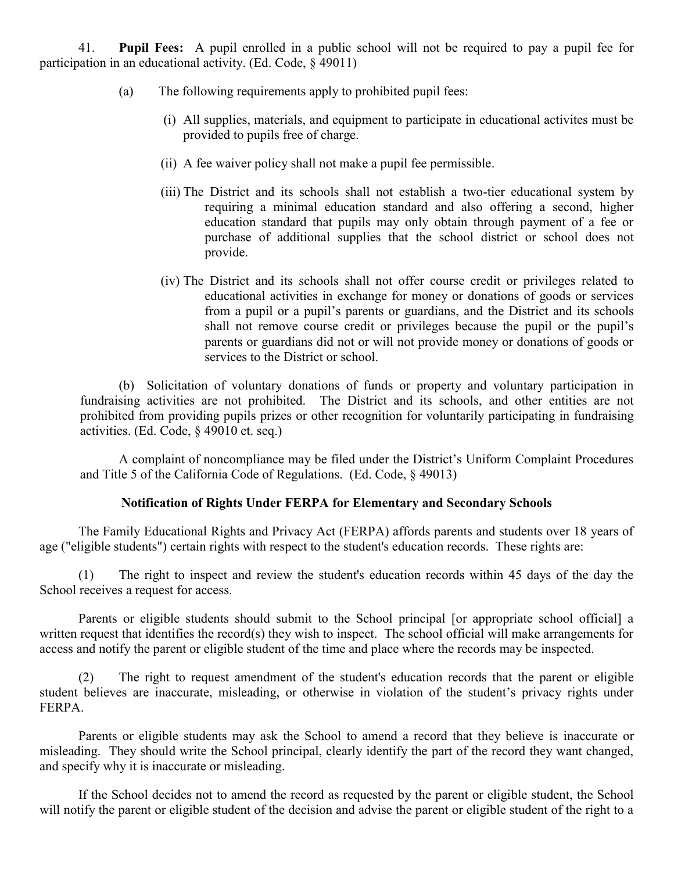41. **Pupil Fees:** A pupil enrolled in a public school will not be required to pay a pupil fee for participation in an educational activity. (Ed. Code, § 49011)

- (a) The following requirements apply to prohibited pupil fees:
	- (i) All supplies, materials, and equipment to participate in educational activites must be provided to pupils free of charge.
	- (ii) A fee waiver policy shall not make a pupil fee permissible.
	- (iii) The District and its schools shall not establish a two-tier educational system by requiring a minimal education standard and also offering a second, higher education standard that pupils may only obtain through payment of a fee or purchase of additional supplies that the school district or school does not provide.
	- (iv) The District and its schools shall not offer course credit or privileges related to educational activities in exchange for money or donations of goods or services from a pupil or a pupil's parents or guardians, and the District and its schools shall not remove course credit or privileges because the pupil or the pupil's parents or guardians did not or will not provide money or donations of goods or services to the District or school.

(b) Solicitation of voluntary donations of funds or property and voluntary participation in fundraising activities are not prohibited. The District and its schools, and other entities are not prohibited from providing pupils prizes or other recognition for voluntarily participating in fundraising activities. (Ed. Code, § 49010 et. seq.)

A complaint of noncompliance may be filed under the District's Uniform Complaint Procedures and Title 5 of the California Code of Regulations. (Ed. Code, § 49013)

### **Notification of Rights Under FERPA for Elementary and Secondary Schools**

The Family Educational Rights and Privacy Act (FERPA) affords parents and students over 18 years of age ("eligible students") certain rights with respect to the student's education records. These rights are:

(1) The right to inspect and review the student's education records within 45 days of the day the School receives a request for access.

Parents or eligible students should submit to the School principal [or appropriate school official] a written request that identifies the record(s) they wish to inspect. The school official will make arrangements for access and notify the parent or eligible student of the time and place where the records may be inspected.

(2) The right to request amendment of the student's education records that the parent or eligible student believes are inaccurate, misleading, or otherwise in violation of the student's privacy rights under FERPA.

Parents or eligible students may ask the School to amend a record that they believe is inaccurate or misleading. They should write the School principal, clearly identify the part of the record they want changed, and specify why it is inaccurate or misleading.

If the School decides not to amend the record as requested by the parent or eligible student, the School will notify the parent or eligible student of the decision and advise the parent or eligible student of the right to a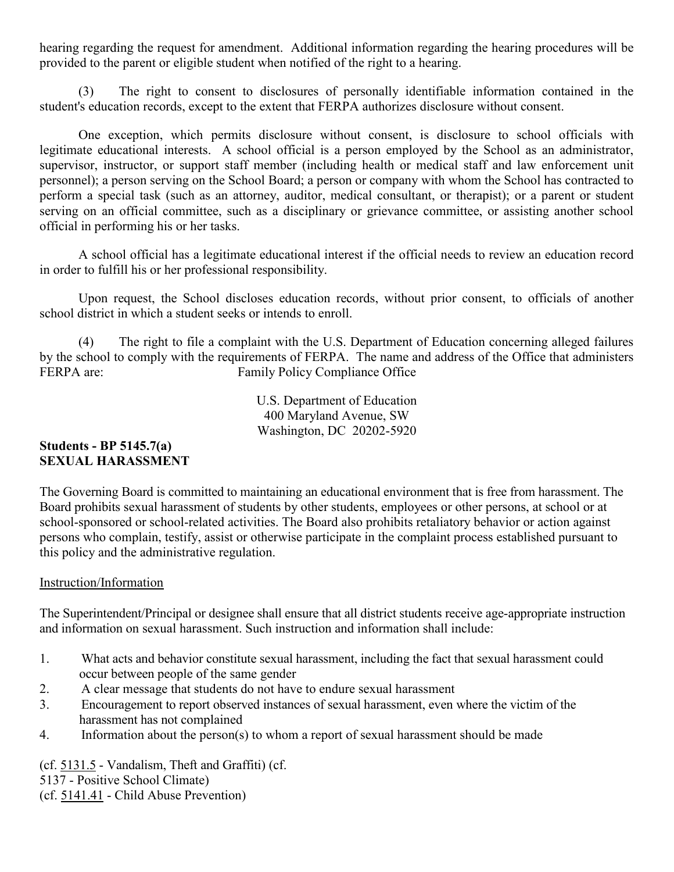hearing regarding the request for amendment. Additional information regarding the hearing procedures will be provided to the parent or eligible student when notified of the right to a hearing.

(3) The right to consent to disclosures of personally identifiable information contained in the student's education records, except to the extent that FERPA authorizes disclosure without consent.

One exception, which permits disclosure without consent, is disclosure to school officials with legitimate educational interests. A school official is a person employed by the School as an administrator, supervisor, instructor, or support staff member (including health or medical staff and law enforcement unit personnel); a person serving on the School Board; a person or company with whom the School has contracted to perform a special task (such as an attorney, auditor, medical consultant, or therapist); or a parent or student serving on an official committee, such as a disciplinary or grievance committee, or assisting another school official in performing his or her tasks.

A school official has a legitimate educational interest if the official needs to review an education record in order to fulfill his or her professional responsibility.

Upon request, the School discloses education records, without prior consent, to officials of another school district in which a student seeks or intends to enroll.

(4) The right to file a complaint with the U.S. Department of Education concerning alleged failures by the school to comply with the requirements of FERPA. The name and address of the Office that administers FERPA are: Family Policy Compliance Office

> U.S. Department of Education 400 Maryland Avenue, SW Washington, DC 20202-5920

# **Students - BP 5145.7(a) SEXUAL HARASSMENT**

The Governing Board is committed to maintaining an educational environment that is free from harassment. The Board prohibits sexual harassment of students by other students, employees or other persons, at school or at school-sponsored or school-related activities. The Board also prohibits retaliatory behavior or action against persons who complain, testify, assist or otherwise participate in the complaint process established pursuant to this policy and the administrative regulation.

# Instruction/Information

The Superintendent/Principal or designee shall ensure that all district students receive age-appropriate instruction and information on sexual harassment. Such instruction and information shall include:

- 1. What acts and behavior constitute sexual harassment, including the fact that sexual harassment could occur between people of the same gender
- 2. A clear message that students do not have to endure sexual harassment
- 3. Encouragement to report observed instances of sexual harassment, even where the victim of the harassment has not complained
- 4. Information about the person(s) to whom a report of sexual harassment should be made

(cf. 5131.5 - Vandalism, Theft and Graffiti) (cf. 5137 - Positive School Climate) (cf. 5141.41 - Child Abuse Prevention)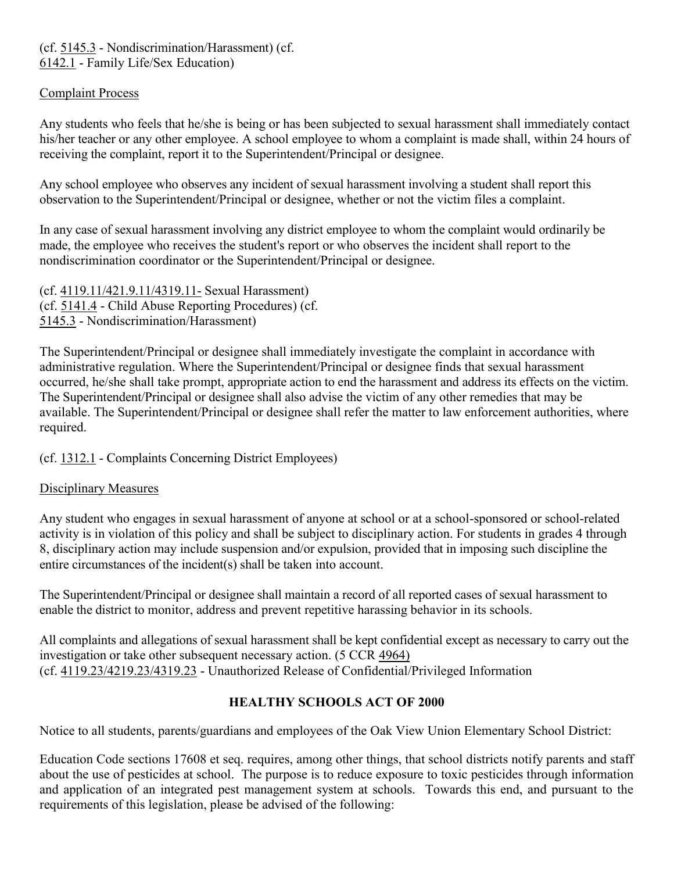# (cf. 5145.3 - Nondiscrimination/Harassment) (cf. 6142.1 - Family Life/Sex Education)

# Complaint Process

Any students who feels that he/she is being or has been subjected to sexual harassment shall immediately contact his/her teacher or any other employee. A school employee to whom a complaint is made shall, within 24 hours of receiving the complaint, report it to the Superintendent/Principal or designee.

Any school employee who observes any incident of sexual harassment involving a student shall report this observation to the Superintendent/Principal or designee, whether or not the victim files a complaint.

In any case of sexual harassment involving any district employee to whom the complaint would ordinarily be made, the employee who receives the student's report or who observes the incident shall report to the nondiscrimination coordinator or the Superintendent/Principal or designee.

(cf. 4119.11/421.9.11/4319.11- Sexual Harassment) (cf. 5141.4 - Child Abuse Reporting Procedures) (cf. 5145.3 - Nondiscrimination/Harassment)

The Superintendent/Principal or designee shall immediately investigate the complaint in accordance with administrative regulation. Where the Superintendent/Principal or designee finds that sexual harassment occurred, he/she shall take prompt, appropriate action to end the harassment and address its effects on the victim. The Superintendent/Principal or designee shall also advise the victim of any other remedies that may be available. The Superintendent/Principal or designee shall refer the matter to law enforcement authorities, where required.

(cf. 1312.1 - Complaints Concerning District Employees)

# Disciplinary Measures

Any student who engages in sexual harassment of anyone at school or at a school-sponsored or school-related activity is in violation of this policy and shall be subject to disciplinary action. For students in grades 4 through 8, disciplinary action may include suspension and/or expulsion, provided that in imposing such discipline the entire circumstances of the incident(s) shall be taken into account.

The Superintendent/Principal or designee shall maintain a record of all reported cases of sexual harassment to enable the district to monitor, address and prevent repetitive harassing behavior in its schools.

All complaints and allegations of sexual harassment shall be kept confidential except as necessary to carry out the investigation or take other subsequent necessary action. (5 CCR 4964) (cf. 4119.23/4219.23/4319.23 - Unauthorized Release of Confidential/Privileged Information

# **HEALTHY SCHOOLS ACT OF 2000**

Notice to all students, parents/guardians and employees of the Oak View Union Elementary School District:

Education Code sections 17608 et seq. requires, among other things, that school districts notify parents and staff about the use of pesticides at school. The purpose is to reduce exposure to toxic pesticides through information and application of an integrated pest management system at schools. Towards this end, and pursuant to the requirements of this legislation, please be advised of the following: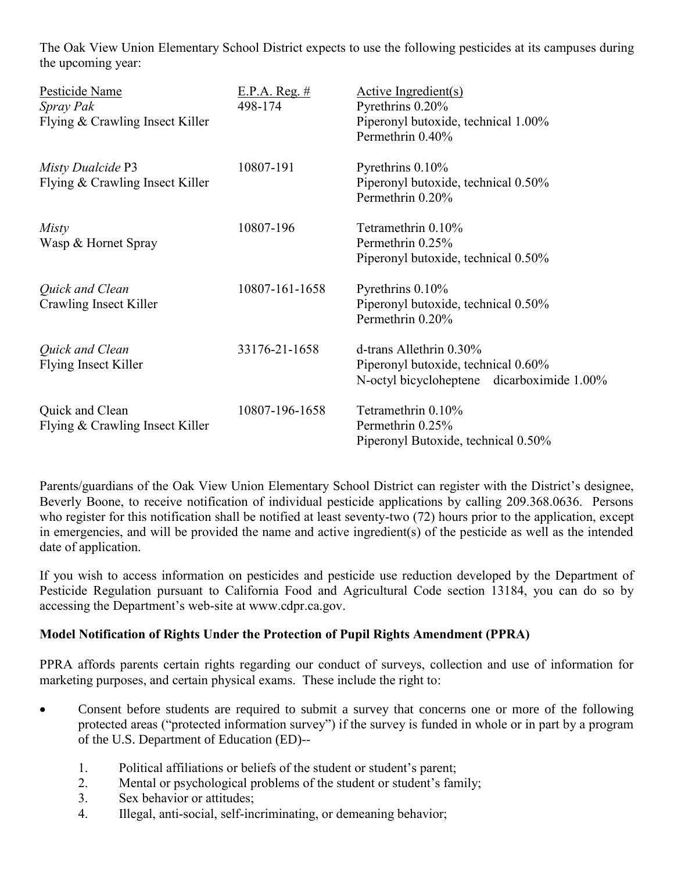The Oak View Union Elementary School District expects to use the following pesticides at its campuses during the upcoming year:

| Pesticide Name<br>Spray Pak<br>Flying & Crawling Insect Killer | E.P.A. Reg. #<br>498-174 | Active Ingredient(s)<br>Pyrethrins 0.20%<br>Piperonyl butoxide, technical 1.00%<br>Permethrin 0.40%             |
|----------------------------------------------------------------|--------------------------|-----------------------------------------------------------------------------------------------------------------|
| Misty Dualcide P3<br>Flying & Crawling Insect Killer           | 10807-191                | Pyrethrins 0.10%<br>Piperonyl butoxide, technical 0.50%<br>Permethrin 0.20%                                     |
| Misty<br>Wasp & Hornet Spray                                   | 10807-196                | Tetramethrin 0.10%<br>Permethrin 0.25%<br>Piperonyl butoxide, technical 0.50%                                   |
| Quick and Clean<br>Crawling Insect Killer                      | 10807-161-1658           | Pyrethrins 0.10%<br>Piperonyl butoxide, technical 0.50%<br>Permethrin 0.20%                                     |
| Quick and Clean<br>Flying Insect Killer                        | 33176-21-1658            | d-trans Allethrin $0.30\%$<br>Piperonyl butoxide, technical 0.60%<br>N-octyl bicycloheptene dicarboximide 1.00% |
| Quick and Clean<br>Flying & Crawling Insect Killer             | 10807-196-1658           | Tetramethrin 0.10%<br>Permethrin 0.25%<br>Piperonyl Butoxide, technical 0.50%                                   |

Parents/guardians of the Oak View Union Elementary School District can register with the District's designee, Beverly Boone, to receive notification of individual pesticide applications by calling 209.368.0636. Persons who register for this notification shall be notified at least seventy-two (72) hours prior to the application, except in emergencies, and will be provided the name and active ingredient(s) of the pesticide as well as the intended date of application.

If you wish to access information on pesticides and pesticide use reduction developed by the Department of Pesticide Regulation pursuant to California Food and Agricultural Code section 13184, you can do so by accessing the Department's web-site at [www.cdpr.ca.gov.](http://www.cdpr.ca.gov./)

# **Model Notification of Rights Under the Protection of Pupil Rights Amendment (PPRA)**

PPRA affords parents certain rights regarding our conduct of surveys, collection and use of information for marketing purposes, and certain physical exams. These include the right to:

- Consent before students are required to submit a survey that concerns one or more of the following protected areas ("protected information survey") if the survey is funded in whole or in part by a program of the U.S. Department of Education (ED)--
	- 1. Political affiliations or beliefs of the student or student's parent;
	- 2. Mental or psychological problems of the student or student's family;
	- 3. Sex behavior or attitudes;
	- 4. Illegal, anti-social, self-incriminating, or demeaning behavior;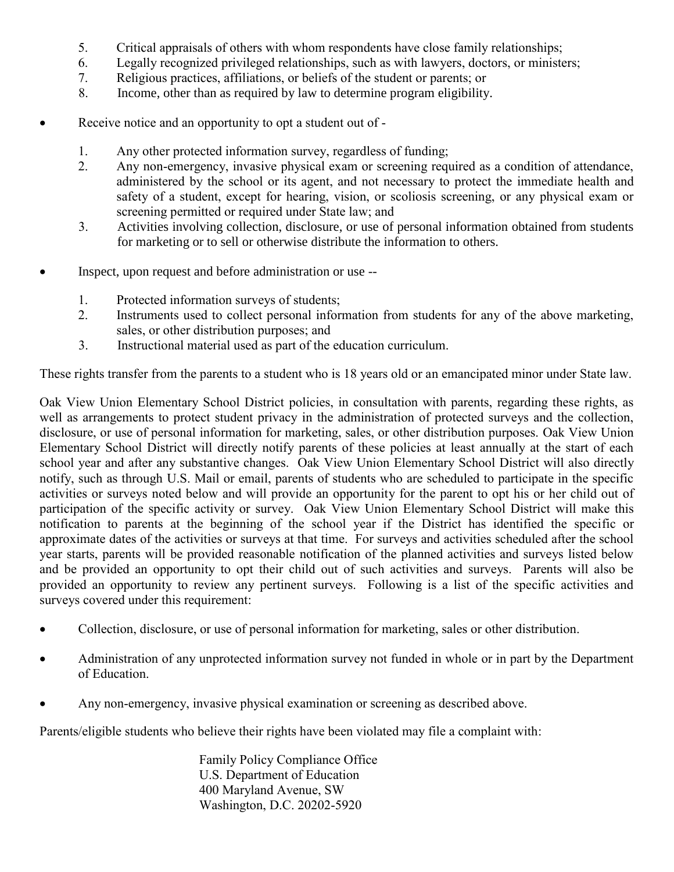- 5. Critical appraisals of others with whom respondents have close family relationships;
- 6. Legally recognized privileged relationships, such as with lawyers, doctors, or ministers;
- 7. Religious practices, affiliations, or beliefs of the student or parents; or
- 8. Income, other than as required by law to determine program eligibility.
- Receive notice and an opportunity to opt a student out of -
	- 1. Any other protected information survey, regardless of funding;
	- 2. Any non-emergency, invasive physical exam or screening required as a condition of attendance, administered by the school or its agent, and not necessary to protect the immediate health and safety of a student, except for hearing, vision, or scoliosis screening, or any physical exam or screening permitted or required under State law; and
	- 3. Activities involving collection, disclosure, or use of personal information obtained from students for marketing or to sell or otherwise distribute the information to others.
- Inspect, upon request and before administration or use --
	- 1. Protected information surveys of students;
	- 2. Instruments used to collect personal information from students for any of the above marketing, sales, or other distribution purposes; and
	- 3. Instructional material used as part of the education curriculum.

These rights transfer from the parents to a student who is 18 years old or an emancipated minor under State law.

Oak View Union Elementary School District policies, in consultation with parents, regarding these rights, as well as arrangements to protect student privacy in the administration of protected surveys and the collection, disclosure, or use of personal information for marketing, sales, or other distribution purposes. Oak View Union Elementary School District will directly notify parents of these policies at least annually at the start of each school year and after any substantive changes. Oak View Union Elementary School District will also directly notify, such as through U.S. Mail or email, parents of students who are scheduled to participate in the specific activities or surveys noted below and will provide an opportunity for the parent to opt his or her child out of participation of the specific activity or survey. Oak View Union Elementary School District will make this notification to parents at the beginning of the school year if the District has identified the specific or approximate dates of the activities or surveys at that time. For surveys and activities scheduled after the school year starts, parents will be provided reasonable notification of the planned activities and surveys listed below and be provided an opportunity to opt their child out of such activities and surveys. Parents will also be provided an opportunity to review any pertinent surveys. Following is a list of the specific activities and surveys covered under this requirement:

- Collection, disclosure, or use of personal information for marketing, sales or other distribution.
- Administration of any unprotected information survey not funded in whole or in part by the Department of Education.
- Any non-emergency, invasive physical examination or screening as described above.

Parents/eligible students who believe their rights have been violated may file a complaint with:

Family Policy Compliance Office U.S. Department of Education 400 Maryland Avenue, SW Washington, D.C. 20202-5920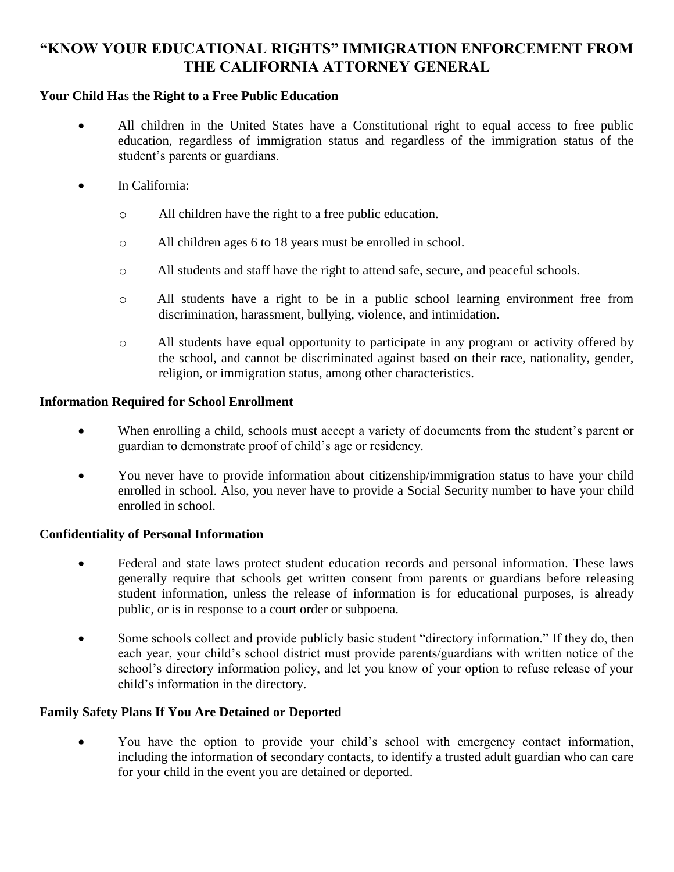# **"KNOW YOUR EDUCATIONAL RIGHTS" IMMIGRATION ENFORCEMENT FROM THE CALIFORNIA ATTORNEY GENERAL**

### **Your Child Ha**s **the Right to a Free Public Education**

- All children in the United States have a Constitutional right to equal access to free public education, regardless of immigration status and regardless of the immigration status of the student's parents or guardians.
- In California:
	- o All children have the right to a free public education.
	- o All children ages 6 to 18 years must be enrolled in school.
	- o All students and staff have the right to attend safe, secure, and peaceful schools.
	- o All students have a right to be in a public school learning environment free from discrimination, harassment, bullying, violence, and intimidation.
	- o All students have equal opportunity to participate in any program or activity offered by the school, and cannot be discriminated against based on their race, nationality, gender, religion, or immigration status, among other characteristics.

### **Information Required for School Enrollment**

- When enrolling a child, schools must accept a variety of documents from the student's parent or guardian to demonstrate proof of child's age or residency.
- You never have to provide information about citizenship/immigration status to have your child enrolled in school. Also, you never have to provide a Social Security number to have your child enrolled in school.

### **Confidentiality of Personal Information**

- Federal and state laws protect student education records and personal information. These laws generally require that schools get written consent from parents or guardians before releasing student information, unless the release of information is for educational purposes, is already public, or is in response to a court order or subpoena.
- Some schools collect and provide publicly basic student "directory information." If they do, then each year, your child's school district must provide parents/guardians with written notice of the school's directory information policy, and let you know of your option to refuse release of your child's information in the directory.

### **Family Safety Plans If You Are Detained or Deported**

• You have the option to provide your child's school with emergency contact information, including the information of secondary contacts, to identify a trusted adult guardian who can care for your child in the event you are detained or deported.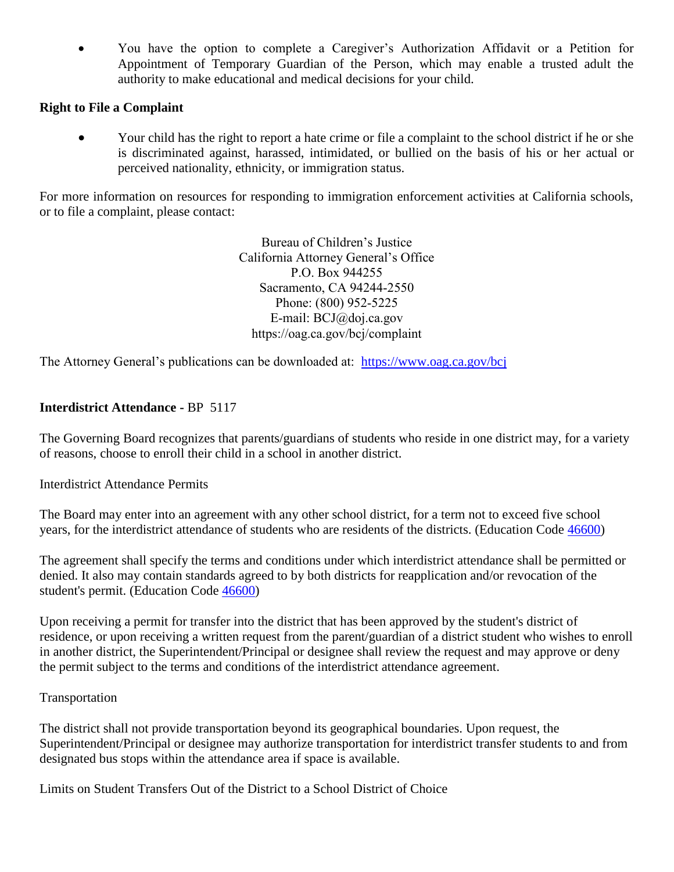• You have the option to complete a Caregiver's Authorization Affidavit or a Petition for Appointment of Temporary Guardian of the Person, which may enable a trusted adult the authority to make educational and medical decisions for your child.

# **Right to File a Complaint**

• Your child has the right to report a hate crime or file a complaint to the school district if he or she is discriminated against, harassed, intimidated, or bullied on the basis of his or her actual or perceived nationality, ethnicity, or immigration status.

For more information on resources for responding to immigration enforcement activities at California schools, or to file a complaint, please contact:

> Bureau of Children's Justice California Attorney General's Office P.O. Box 944255 Sacramento, CA 94244-2550 Phone: (800) 952-5225 E-mail: BCJ@doj.ca.gov https://oag.ca.gov/bcj/complaint

The Attorney General's publications can be downloaded at: <https://www.oag.ca.gov/bcj>

# **Interdistrict Attendance -** BP 5117

The Governing Board recognizes that parents/guardians of students who reside in one district may, for a variety of reasons, choose to enroll their child in a school in another district.

Interdistrict Attendance Permits

The Board may enter into an agreement with any other school district, for a term not to exceed five school years, for the interdistrict attendance of students who are residents of the districts. (Education Code [46600\)](http://www.gamutonline.net/district/oakviewunion/displayPolicy/132030/)

The agreement shall specify the terms and conditions under which interdistrict attendance shall be permitted or denied. It also may contain standards agreed to by both districts for reapplication and/or revocation of the student's permit. (Education Code [46600\)](http://www.gamutonline.net/district/oakviewunion/displayPolicy/132030/)

Upon receiving a permit for transfer into the district that has been approved by the student's district of residence, or upon receiving a written request from the parent/guardian of a district student who wishes to enroll in another district, the Superintendent/Principal or designee shall review the request and may approve or deny the permit subject to the terms and conditions of the interdistrict attendance agreement.

### Transportation

The district shall not provide transportation beyond its geographical boundaries. Upon request, the Superintendent/Principal or designee may authorize transportation for interdistrict transfer students to and from designated bus stops within the attendance area if space is available.

Limits on Student Transfers Out of the District to a School District of Choice